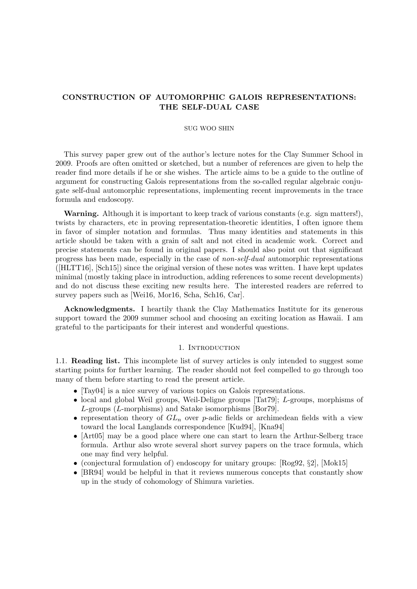## CONSTRUCTION OF AUTOMORPHIC GALOIS REPRESENTATIONS: THE SELF-DUAL CASE

## SUG WOO SHIN

This survey paper grew out of the author's lecture notes for the Clay Summer School in 2009. Proofs are often omitted or sketched, but a number of references are given to help the reader find more details if he or she wishes. The article aims to be a guide to the outline of argument for constructing Galois representations from the so-called regular algebraic conjugate self-dual automorphic representations, implementing recent improvements in the trace formula and endoscopy.

Warning. Although it is important to keep track of various constants (e.g. sign matters!), twists by characters, etc in proving representation-theoretic identities, I often ignore them in favor of simpler notation and formulas. Thus many identities and statements in this article should be taken with a grain of salt and not cited in academic work. Correct and precise statements can be found in original papers. I should also point out that significant progress has been made, especially in the case of non-self-dual automorphic representations ([HLTT16], [Sch15]) since the original version of these notes was written. I have kept updates minimal (mostly taking place in introduction, adding references to some recent developments) and do not discuss these exciting new results here. The interested readers are referred to survey papers such as [Wei16, Mor16, Scha, Sch16, Car].

Acknowledgments. I heartily thank the Clay Mathematics Institute for its generous support toward the 2009 summer school and choosing an exciting location as Hawaii. I am grateful to the participants for their interest and wonderful questions.

## 1. INTRODUCTION

1.1. Reading list. This incomplete list of survey articles is only intended to suggest some starting points for further learning. The reader should not feel compelled to go through too many of them before starting to read the present article.

- [Tay04] is a nice survey of various topics on Galois representations.
- local and global Weil groups, Weil-Deligne groups [Tat79]; L-groups, morphisms of L-groups (L-morphisms) and Satake isomorphisms [Bor79].
- representation theory of  $GL_n$  over p-adic fields or archimedean fields with a view toward the local Langlands correspondence [Kud94], [Kna94]
- [Art05] may be a good place where one can start to learn the Arthur-Selberg trace formula. Arthur also wrote several short survey papers on the trace formula, which one may find very helpful.
- (conjectural formulation of) endoscopy for unitary groups:  $[Rog92, \, \&2]$ ,  $[Mok15]$
- [BR94] would be helpful in that it reviews numerous concepts that constantly show up in the study of cohomology of Shimura varieties.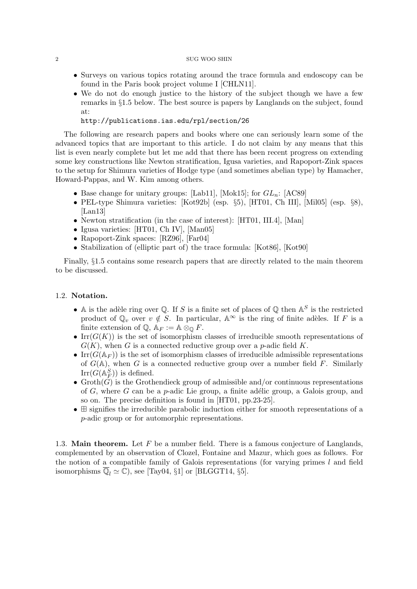- Surveys on various topics rotating around the trace formula and endoscopy can be found in the Paris book project volume I [CHLN11].
- We do not do enough justice to the history of the subject though we have a few remarks in §1.5 below. The best source is papers by Langlands on the subject, found at:

http://publications.ias.edu/rpl/section/26

The following are research papers and books where one can seriously learn some of the advanced topics that are important to this article. I do not claim by any means that this list is even nearly complete but let me add that there has been recent progress on extending some key constructions like Newton stratification, Igusa varieties, and Rapoport-Zink spaces to the setup for Shimura varieties of Hodge type (and sometimes abelian type) by Hamacher, Howard-Pappas, and W. Kim among others.

- Base change for unitary groups: [Lab11], [Mok15]; for  $GL_n$ : [AC89]
- PEL-type Shimura varieties: [Kot92b] (esp. §5), [HT01, Ch III], [Mil05] (esp. §8), [Lan13]
- Newton stratification (in the case of interest): [HT01, III.4], [Man]
- Igusa varieties: [HT01, Ch IV], [Man05]
- Rapoport-Zink spaces: [RZ96], [Far04]
- Stabilization of (elliptic part of) the trace formula: [Kot86], [Kot90]

Finally, §1.5 contains some research papers that are directly related to the main theorem to be discussed.

## 1.2. Notation.

- A is the adèle ring over Q. If S is a finite set of places of Q then  $A^S$  is the restricted product of  $\mathbb{Q}_v$  over  $v \notin S$ . In particular,  $\mathbb{A}^{\infty}$  is the ring of finite adèles. If F is a finite extension of  $\mathbb{Q}$ ,  $\mathbb{A}_F := \mathbb{A} \otimes_{\mathbb{Q}} F$ .
- Irr $(G(K))$  is the set of isomorphism classes of irreducible smooth representations of  $G(K)$ , when G is a connected reductive group over a p-adic field K.
- Irr $(G(\mathbb{A}_F))$  is the set of isomorphism classes of irreducible admissible representations of  $G(\mathbb{A})$ , when G is a connected reductive group over a number field F. Similarly  $\text{Irr}(\hat{G}(\mathbb{A}_F^S))$  is defined.
- Groth $(G)$  is the Grothendieck group of admissible and/or continuous representations of  $G$ , where  $G$  can be a p-adic Lie group, a finite adélic group, a Galois group, and so on. The precise definition is found in [HT01, pp.23-25].
- $\bullet$   $\boxplus$  signifies the irreducible parabolic induction either for smooth representations of a p-adic group or for automorphic representations.

1.3. Main theorem. Let  $F$  be a number field. There is a famous conjecture of Langlands, complemented by an observation of Clozel, Fontaine and Mazur, which goes as follows. For the notion of a compatible family of Galois representations (for varying primes  $l$  and field isomorphisms  $\overline{\mathbb{Q}}_l \simeq \mathbb{C}$ , see [Tay04, §1] or [BLGGT14, §5].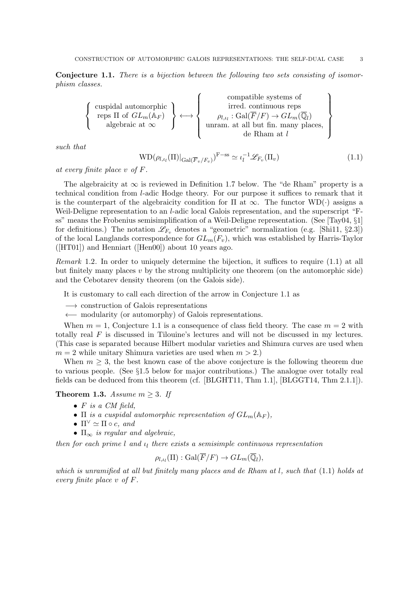Conjecture 1.1. There is a bijection between the following two sets consisting of isomorphism classes.

$$
\left\{\begin{array}{c}\text{cuspidal automorphic}\\\text{reps } \Pi \text{ of } GL_m(\mathbb{A}_F)\\ \text{algebraic at } \infty\end{array}\right\} \longleftrightarrow \left\{\begin{array}{c}\text{compatible systems of}\\\text{irred. continuous reps}\\\rho_{l,\iota_l}:\text{Gal}(\overline{F}/F) \to GL_m(\overline{\mathbb{Q}}_l)\\ \text{unram. at all but fin. many places,}\\\text{de Rham at } l\end{array}\right\}
$$

such that

$$
WD(\rho_{l,\iota_l}(\Pi)|_{Gal(\overline{F}_v/F_v)})^{F-ss} \simeq \iota_l^{-1}\mathscr{L}_{F_v}(\Pi_v)
$$
\n(1.1)

at every finite place v of F.

The algebraicity at  $\infty$  is reviewed in Definition 1.7 below. The "de Rham" property is a technical condition from l-adic Hodge theory. For our purpose it suffices to remark that it is the counterpart of the algebraicity condition for  $\Pi$  at  $\infty$ . The functor WD( $\cdot$ ) assigns a Weil-Deligne representation to an *l*-adic local Galois representation, and the superscript "Fss" means the Frobenius semisimplification of a Weil-Deligne representation. (See [Tay04, §1] for definitions.) The notation  $\mathscr{L}_{F_v}$  denotes a "geometric" normalization (e.g. [Shi11, §2.3]) of the local Langlands correspondence for  $GL_m(F_v)$ , which was established by Harris-Taylor  $([HT01])$  and Henniart  $([Hen00])$  about 10 years ago.

Remark 1.2. In order to uniquely determine the bijection, it suffices to require (1.1) at all but finitely many places  $v$  by the strong multiplicity one theorem (on the automorphic side) and the Cebotarev density theorem (on the Galois side).

It is customary to call each direction of the arrow in Conjecture 1.1 as

−→ construction of Galois representations

←− modularity (or automorphy) of Galois representations.

When  $m = 1$ , Conjecture 1.1 is a consequence of class field theory. The case  $m = 2$  with totally real  $F$  is discussed in Tilouine's lectures and will not be discussed in my lectures. (This case is separated because Hilbert modular varieties and Shimura curves are used when  $m = 2$  while unitary Shimura varieties are used when  $m > 2$ .

When  $m \geq 3$ , the best known case of the above conjecture is the following theorem due to various people. (See §1.5 below for major contributions.) The analogue over totally real fields can be deduced from this theorem (cf. [BLGHT11, Thm 1.1], [BLGGT14, Thm 2.1.1]).

**Theorem 1.3.** Assume  $m \geq 3$ . If

- $\bullet$  F is a CM field,
- $\Pi$  is a cuspidal automorphic representation of  $GL_m(\mathbb{A}_F)$ ,
- $\Pi^{\vee} \simeq \Pi \circ c$ , and
- $\Pi_{\infty}$  is regular and algebraic,

then for each prime  $l$  and  $u_l$  there exists a semisimple continuous representation

$$
\rho_{l,\iota_l}(\Pi) : \mathrm{Gal}(\overline{F}/F) \to GL_m(\overline{\mathbb{Q}}_l),
$$

which is unramified at all but finitely many places and de Rham at  $l$ , such that  $(1.1)$  holds at every finite place v of F.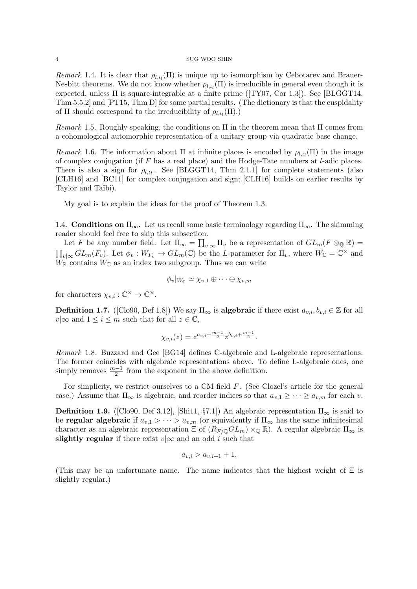Remark 1.4. It is clear that  $\rho_{l,t}(\Pi)$  is unique up to isomorphism by Cebotarev and Brauer-Nesbitt theorems. We do not know whether  $\rho_{l,\nu_l}(\Pi)$  is irreducible in general even though it is expected, unless  $\Pi$  is square-integrable at a finite prime ( $\text{T}Y07$ , Cor 1.3). See [BLGGT14, Thm 5.5.2] and [PT15, Thm D] for some partial results. (The dictionary is that the cuspidality of  $\Pi$  should correspond to the irreducibility of  $\rho_{l,t_l}(\Pi)$ .)

Remark 1.5. Roughly speaking, the conditions on  $\Pi$  in the theorem mean that  $\Pi$  comes from a cohomological automorphic representation of a unitary group via quadratic base change.

Remark 1.6. The information about  $\Pi$  at infinite places is encoded by  $\rho_{l,\iota_l}(\Pi)$  in the image of complex conjugation (if  $F$  has a real place) and the Hodge-Tate numbers at  $l$ -adic places. There is also a sign for  $\rho_{l,t_l}$ . See [BLGGT14, Thm 2.1.1] for complete statements (also [CLH16] and [BC11] for complex conjugation and sign; [CLH16] builds on earlier results by Taylor and Taïbi).

My goal is to explain the ideas for the proof of Theorem 1.3.

1.4. **Conditions on**  $\Pi_{\infty}$ . Let us recall some basic terminology regarding  $\Pi_{\infty}$ . The skimming reader should feel free to skip this subsection.

Let F be any number field. Let  $\Pi_{\infty} = \prod_{v | \infty} \Pi_v$  be a representation of  $GL_m(F \otimes_{\mathbb{Q}} \mathbb{R}) =$  $\prod_{v|\infty} GL_m(F_v)$ . Let  $\phi_v: W_{F_v} \to GL_m(\mathbb{C})$  be the L-parameter for  $\Pi_v$ , where  $W_{\mathbb{C}} = \mathbb{C}^\times$  and  $W_{\mathbb{R}}$  contains  $W_{\mathbb{C}}$  as an index two subgroup. Thus we can write

$$
\phi_v|_{W_{\mathbb{C}}} \simeq \chi_{v,1} \oplus \cdots \oplus \chi_{v,m}
$$

for characters  $\chi_{v,i} : \mathbb{C}^{\times} \to \mathbb{C}^{\times}$ .

**Definition 1.7.** ([Clo90, Def 1.8]) We say  $\Pi_{\infty}$  is **algebraic** if there exist  $a_{v,i}, b_{v,i} \in \mathbb{Z}$  for all  $v|\infty$  and  $1 \leq i \leq m$  such that for all  $z \in \mathbb{C}$ ,

$$
\chi_{v,i}(z) = z^{a_{v,i} + \frac{m-1}{2}} \overline{z}^{b_{v,i} + \frac{m-1}{2}}.
$$

Remark 1.8. Buzzard and Gee [BG14] defines C-algebraic and L-algebraic representations. The former coincides with algebraic representations above. To define L-algebraic ones, one simply removes  $\frac{m-1}{2}$  from the exponent in the above definition.

For simplicity, we restrict ourselves to a CM field F. (See Clozel's article for the general case.) Assume that  $\Pi_{\infty}$  is algebraic, and reorder indices so that  $a_{v,1} \geq \cdots \geq a_{v,m}$  for each v.

**Definition 1.9.** ([Clo90, Def 3.12], [Shi11, §7.1]) An algebraic representation  $\Pi_{\infty}$  is said to be **regular algebraic** if  $a_{v,1} > \cdots > a_{v,m}$  (or equivalently if  $\Pi_{\infty}$  has the same infinitesimal character as an algebraic representation  $\Xi$  of  $(R_{F/\mathbb{Q}}GL_m)\times_{\mathbb{Q}}\mathbb{R}$ . A regular algebraic  $\Pi_{\infty}$  is slightly regular if there exist  $v \sim \infty$  and an odd i such that

$$
a_{v,i} > a_{v,i+1} + 1.
$$

(This may be an unfortunate name. The name indicates that the highest weight of  $\Xi$  is slightly regular.)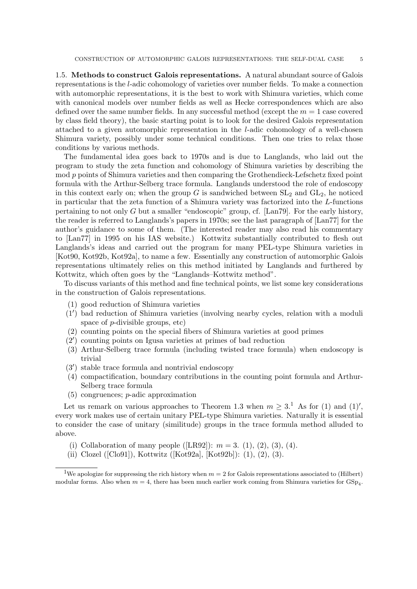1.5. Methods to construct Galois representations. A natural abundant source of Galois representations is the l-adic cohomology of varieties over number fields. To make a connection with automorphic representations, it is the best to work with Shimura varieties, which come with canonical models over number fields as well as Hecke correspondences which are also defined over the same number fields. In any successful method (except the  $m = 1$  case covered by class field theory), the basic starting point is to look for the desired Galois representation attached to a given automorphic representation in the l-adic cohomology of a well-chosen Shimura variety, possibly under some technical conditions. Then one tries to relax those conditions by various methods.

The fundamental idea goes back to 1970s and is due to Langlands, who laid out the program to study the zeta function and cohomology of Shimura varieties by describing the mod p points of Shimura varieties and then comparing the Grothendieck-Lefschetz fixed point formula with the Arthur-Selberg trace formula. Langlands understood the role of endoscopy in this context early on; when the group G is sandwiched between  $SL_2$  and  $GL_2$ , he noticed in particular that the zeta function of a Shimura variety was factorized into the L-functions pertaining to not only G but a smaller "endoscopic" group, cf. [Lan79]. For the early history, the reader is referred to Langlands's papers in 1970s; see the last paragraph of [Lan77] for the author's guidance to some of them. (The interested reader may also read his commentary to [Lan77] in 1995 on his IAS website.) Kottwitz substantially contributed to flesh out Langlands's ideas and carried out the program for many PEL-type Shimura varieties in [Kot90, Kot92b, Kot92a], to name a few. Essentially any construction of automorphic Galois representations ultimately relies on this method initiated by Langlands and furthered by Kottwitz, which often goes by the "Langlands–Kottwitz method".

To discuss variants of this method and fine technical points, we list some key considerations in the construction of Galois representations.

- (1) good reduction of Shimura varieties
- $(1')$  bad reduction of Shimura varieties (involving nearby cycles, relation with a moduli space of p-divisible groups, etc)
- (2) counting points on the special fibers of Shimura varieties at good primes
- $(2')$  counting points on Igusa varieties at primes of bad reduction
- (3) Arthur-Selberg trace formula (including twisted trace formula) when endoscopy is trivial
- (3') stable trace formula and nontrivial endoscopy
- (4) compactification, boundary contributions in the counting point formula and Arthur-Selberg trace formula
- (5) congruences; p-adic approximation

Let us remark on various approaches to Theorem 1.3 when  $m \geq 3$ .<sup>1</sup> As for (1) and (1)', every work makes use of certain unitary PEL-type Shimura varieties. Naturally it is essential to consider the case of unitary (similitude) groups in the trace formula method alluded to above.

- (i) Collaboration of many people ([LR92]):  $m = 3$ . (1), (2), (3), (4).
- (ii) Clozel ([Clo91]), Kottwitz ([Kot92a], [Kot92b]): (1), (2), (3).

<sup>&</sup>lt;sup>1</sup>We apologize for suppressing the rich history when  $m = 2$  for Galois representations associated to (Hilbert) modular forms. Also when  $m = 4$ , there has been much earlier work coming from Shimura varieties for  $GSp<sub>4</sub>$ .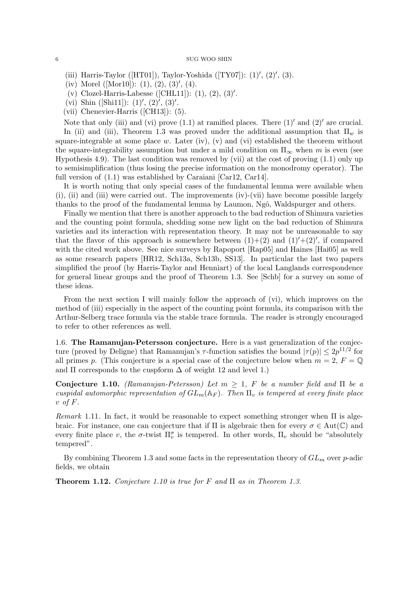(iii) Harris-Taylor ([HT01]), Taylor-Yoshida ([TY07]):  $(1)$ ',  $(2)$ ',  $(3)$ .

(iv) Morel ([Mor10]):  $(1)$ ,  $(2)$ ,  $(3)$ ',  $(4)$ .

(v) Clozel-Harris-Labesse ([CHL11]):  $(1)$ ,  $(2)$ ,  $(3)'$ .

(vi) Shin ([Shi11]):  $(1)$ ',  $(2)$ ',  $(3)$ '.

(vii) Chenevier-Harris ([CH13]): (5).

Note that only (iii) and (vi) prove  $(1.1)$  at ramified places. There  $(1)'$  and  $(2)'$  are crucial. In (ii) and (iii), Theorem 1.3 was proved under the additional assumption that  $\Pi_w$  is square-integrable at some place w. Later (iv), (v) and (vi) established the theorem without the square-integrability assumption but under a mild condition on  $\Pi_{\infty}$  when m is even (see Hypothesis 4.9). The last condition was removed by (vii) at the cost of proving (1.1) only up to semisimplification (thus losing the precise information on the monodromy operator). The full version of  $(1.1)$  was established by Caraiani [Car12, Car14].

It is worth noting that only special cases of the fundamental lemma were available when (i), (ii) and (iii) were carried out. The improvements (iv)-(vii) have become possible largely thanks to the proof of the fundamental lemma by Laumon, Ngô, Waldspurger and others.

Finally we mention that there is another approach to the bad reduction of Shimura varieties and the counting point formula, shedding some new light on the bad reduction of Shimura varieties and its interaction with representation theory. It may not be unreasonable to say that the flavor of this approach is somewhere between  $(1)+(2)$  and  $(1)'+(2)'$ , if compared with the cited work above. See nice surveys by Rapoport [Rap05] and Haines [Hai05] as well as some research papers [HR12, Sch13a, Sch13b, SS13]. In particular the last two papers simplified the proof (by Harris-Taylor and Henniart) of the local Langlands correspondence for general linear groups and the proof of Theorem 1.3. See [Schb] for a survey on some of these ideas.

From the next section I will mainly follow the approach of (vi), which improves on the method of (iii) especially in the aspect of the counting point formula, its comparison with the Arthur-Selberg trace formula via the stable trace formula. The reader is strongly encouraged to refer to other references as well.

1.6. The Ramanujan-Petersson conjecture. Here is a vast generalization of the conjecture (proved by Deligne) that Ramanujan's  $\tau$ -function satisfies the bound  $|\tau(p)| \leq 2p^{11/2}$  for all primes p. (This conjecture is a special case of the conjecture below when  $m = 2$ ,  $F = \mathbb{Q}$ and  $\Pi$  corresponds to the cuspform  $\Delta$  of weight 12 and level 1.)

Conjecture 1.10. (Ramanujan-Petersson) Let  $m \geq 1$ , F be a number field and  $\Pi$  be a cuspidal automorphic representation of  $GL_m(\mathbb{A}_F)$ . Then  $\Pi_v$  is tempered at every finite place  $v$  of  $F$ .

Remark 1.11. In fact, it would be reasonable to expect something stronger when  $\Pi$  is algebraic. For instance, one can conjecture that if  $\Pi$  is algebraic then for every  $\sigma \in Aut(\mathbb{C})$  and every finite place v, the  $\sigma$ -twist  $\Pi_v^{\sigma}$  is tempered. In other words,  $\Pi_v$  should be "absolutely tempered".

By combining Theorem 1.3 and some facts in the representation theory of  $GL_m$  over p-adic fields, we obtain

**Theorem 1.12.** Conjecture 1.10 is true for F and  $\Pi$  as in Theorem 1.3.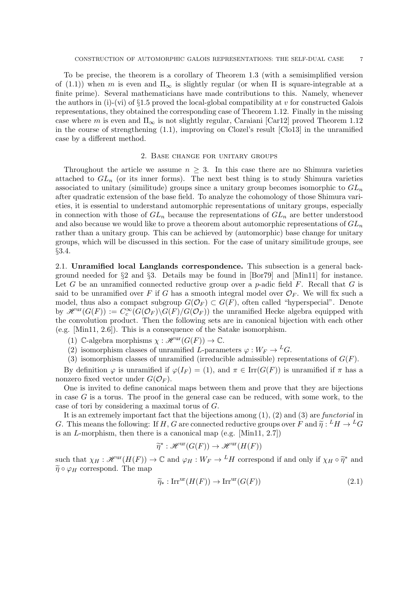To be precise, the theorem is a corollary of Theorem 1.3 (with a semisimplified version of (1.1)) when m is even and  $\Pi_{\infty}$  is slightly regular (or when  $\Pi$  is square-integrable at a finite prime). Several mathematicians have made contributions to this. Namely, whenever the authors in (i)-(vi) of  $\S1.5$  proved the local-global compatibility at v for constructed Galois representations, they obtained the corresponding case of Theorem 1.12. Finally in the missing case where m is even and  $\Pi_{\infty}$  is not slightly regular, Caraiani [Car12] proved Theorem 1.12 in the course of strengthening (1.1), improving on Clozel's result [Clo13] in the unramified case by a different method.

## 2. Base change for unitary groups

Throughout the article we assume  $n \geq 3$ . In this case there are no Shimura varieties attached to  $GL_n$  (or its inner forms). The next best thing is to study Shimura varieties associated to unitary (similitude) groups since a unitary group becomes isomorphic to  $GL_n$ after quadratic extension of the base field. To analyze the cohomology of those Shimura varieties, it is essential to understand automorphic representations of unitary groups, especially in connection with those of  $GL_n$  because the representations of  $GL_n$  are better understood and also because we would like to prove a theorem about automorphic representations of  $GL_n$ rather than a unitary group. This can be achieved by (automorphic) base change for unitary groups, which will be discussed in this section. For the case of unitary similitude groups, see §3.4.

2.1. Unramified local Langlands correspondence. This subsection is a general background needed for  $\S2$  and  $\S3$ . Details may be found in [Bor79] and [Min11] for instance. Let G be an unramified connected reductive group over a p-adic field F. Recall that G is said to be unramified over F if G has a smooth integral model over  $\mathcal{O}_F$ . We will fix such a model, thus also a compact subgroup  $G(\mathcal{O}_F) \subset G(F)$ , often called "hyperspecial". Denote by  $\mathscr{H}^{\mathrm{ur}}(G(F)) := C_c^{\infty}(G(\mathcal{O}_F) \backslash G(F)/G(\mathcal{O}_F))$  the unramified Hecke algebra equipped with the convolution product. Then the following sets are in canonical bijection with each other (e.g. [Min11, 2.6]). This is a consequence of the Satake isomorphism.

- (1) C-algebra morphisms  $\chi : \mathscr{H}^{\mathrm{ur}}(G(F)) \to \mathbb{C}$ .
- (2) isomorphism classes of unramified L-parameters  $\varphi: W_F \to {}^L G$ .
- (3) isomorphism classes of unramified (irreducible admissible) representations of  $G(F)$ .

By definition  $\varphi$  is unramified if  $\varphi(I_F) = (1)$ , and  $\pi \in \text{Irr}(G(F))$  is unramified if  $\pi$  has a nonzero fixed vector under  $G(\mathcal{O}_F)$ .

One is invited to define canonical maps between them and prove that they are bijections in case  $G$  is a torus. The proof in the general case can be reduced, with some work, to the case of tori by considering a maximal torus of G.

It is an extremely important fact that the bijections among  $(1)$ ,  $(2)$  and  $(3)$  are *functorial* in G. This means the following: If H, G are connected reductive groups over F and  $\tilde{\eta}: {}^L H \to {}^L G$ <br>is an L morphism, then there is a canonical map (e.g. [Min11\_2.7]) is an L-morphism, then there is a canonical map (e.g. [Min11, 2.7])

$$
\widetilde{\eta}^* : \mathscr{H}^{\mathrm{ur}}(G(F)) \to \mathscr{H}^{\mathrm{ur}}(H(F))
$$

such that  $\chi_H : \mathscr{H}^{\text{ur}}(H(F)) \to \mathbb{C}$  and  $\varphi_H : W_F \to {}^L H$  correspond if and only if  $\chi_H \circ \tilde{\eta}^*$  and  $\tilde{\eta}^* \circ \tilde{\eta}^*$  and  $\widetilde{\eta} \circ \varphi_H$  correspond. The map

$$
\widetilde{\eta}_* : \operatorname{Irr}^{\text{ur}}(H(F)) \to \operatorname{Irr}^{\text{ur}}(G(F)) \tag{2.1}
$$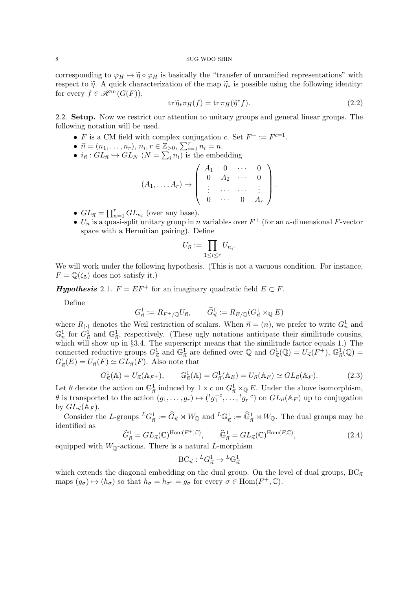corresponding to  $\varphi_H \mapsto \tilde{\eta} \circ \varphi_H$  is basically the "transfer of unramified representations" with respect to  $\tilde{\eta}$ . A quick characterization of the map  $\tilde{\eta}_{*}$  is possible using the following identity: for every  $f \in \mathscr{H}^{\mathrm{ur}}(G(F)),$ 

$$
\operatorname{tr}\tilde{\eta}_*\pi_H(f) = \operatorname{tr}\pi_H(\tilde{\eta}^*f). \tag{2.2}
$$

2.2. Setup. Now we restrict our attention to unitary groups and general linear groups. The following notation will be used.

- F is a CM field with complex conjugation c. Set  $F^+ := F^{c=1}$ .
- $\vec{n} = (n_1, \ldots, n_r), n_i, r \in \mathbb{Z}_{>0}, \sum_{i=1}^r n_i = n.$
- $i_{\vec{n}}$ :  $GL_{\vec{n}} \hookrightarrow GL_N$  ( $N = \sum_i n_i$ ) is the embedding

$$
(A_1,\ldots,A_r)\mapsto\left(\begin{array}{cccc} A_1 & 0 & \cdots & 0 \\ 0 & A_2 & \cdots & 0 \\ \vdots & \cdots & \cdots & \vdots \\ 0 & \cdots & 0 & A_r \end{array}\right).
$$

- $GL_{\vec{n}} = \prod_{n=1}^r GL_{n_i}$  (over any base).
- $U_n$  is a quasi-split unitary group in n variables over  $F^+$  (for an n-dimensional F-vector space with a Hermitian pairing). Define

$$
U_{\vec{n}} := \prod_{1 \leq i \leq r} U_{n_i}.
$$

We will work under the following hypothesis. (This is not a vacuous condition. For instance,  $F = \mathbb{O}(\zeta_5)$  does not satisfy it.)

**Hypothesis** 2.1.  $F = EF^+$  for an imaginary quadratic field  $E \subset F$ .

Define

$$
G^1_{\vec{n}}:=R_{F^+/{\mathbb Q}}U_{\vec{n}},\qquad \widetilde G^1_{\vec{n}}:=R_{E/{\mathbb Q}}(G^1_{\vec{n}}\times_{\mathbb Q}E)
$$

where  $R_{(.)}$  denotes the Weil restriction of scalars. When  $\vec{n} = (n)$ , we prefer to write  $G_n^1$  and  $\mathbb{G}_n^1$  for  $G_{\vec{n}}^1$  and  $\mathbb{G}_{\vec{n}}^1$ , respectively. (These ugly notations anticipate their similitude cousins, which will show up in §3.4. The superscript means that the similitude factor equals 1.) The connected reductive groups  $G_{\vec{n}}^1$  and  $\mathbb{G}_{\vec{n}}^1$  are defined over  $\mathbb{Q}$  and  $G_{\vec{n}}^1(\mathbb{Q}) = U_{\vec{n}}(F^+), \mathbb{G}_{\vec{n}}^1(\mathbb{Q}) =$  $G_{\vec{n}}^1(E) = U_{\vec{n}}(F) \simeq GL_{\vec{n}}(F)$ . Also note that

$$
G_{\vec{n}}^1(\mathbb{A}) = U_{\vec{n}}(\mathbb{A}_{F^+}), \qquad \mathbb{G}_{\vec{n}}^1(\mathbb{A}) = G_{\vec{n}}^1(\mathbb{A}_E) = U_{\vec{n}}(\mathbb{A}_F) \simeq GL_{\vec{n}}(\mathbb{A}_F). \tag{2.3}
$$

Let  $\theta$  denote the action on  $\mathbb{G}_{\vec{n}}^1$  induced by  $1 \times c$  on  $G_{\vec{n}}^1 \times_{\mathbb{Q}} E$ . Under the above isomorphism,  $\theta$  is transported to the action  $(g_1, \ldots, g_r) \mapsto ({}^t g_1^{-c}, \ldots, {}^t g_r^{-c})$  on  $GL_{\vec{n}}(\mathbb{A}_F)$  up to conjugation by  $GL_{\vec{n}}(\mathbb{A}_F)$ .

Consider the L-groups  ${}^L G^1_{\vec{n}} := \widehat{G}_{\vec{n}} \rtimes W_{\mathbb{Q}}$  and  ${}^L \mathbb{G}^1_{\vec{n}} := \widehat{\mathbb{G}}^1_{\vec{n}} \rtimes W_{\mathbb{Q}}$ . The dual groups may be identified as

$$
\widehat{G}_{\vec{n}}^1 = GL_{\vec{n}}(\mathbb{C})^{\text{Hom}(F^+,\mathbb{C})}, \qquad \widehat{\mathbb{G}}_{\vec{n}}^1 = GL_{\vec{n}}(\mathbb{C})^{\text{Hom}(F,\mathbb{C})}, \tag{2.4}
$$

equipped with  $W_{\mathbb{Q}}$ -actions. There is a natural L-morphism

$$
\mathrm{BC}_{\vec{n}} : {}^L G^1_{\vec{n}} \to {}^L \mathbb{G}^1_{\vec{n}}
$$

which extends the diagonal embedding on the dual group. On the level of dual groups,  $BC_{\vec{n}}$ maps  $(g_{\sigma}) \mapsto (h_{\sigma})$  so that  $h_{\sigma} = h_{\sigma^c} = g_{\sigma}$  for every  $\sigma \in \text{Hom}(F^+, \mathbb{C})$ .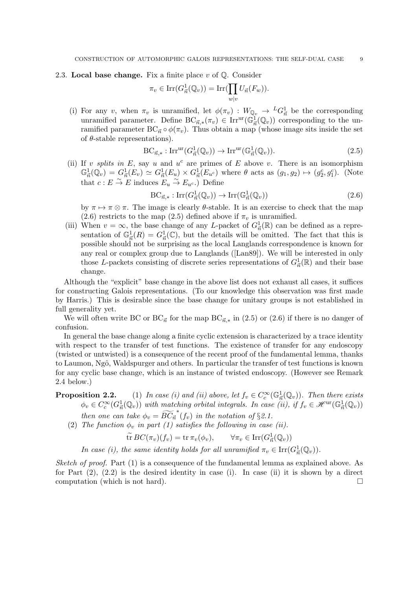2.3. Local base change. Fix a finite place  $v$  of  $\mathbb{Q}$ . Consider

$$
\pi_v \in \operatorname{Irr}(G_{\vec{n}}^1(\mathbb{Q}_v)) = \operatorname{Irr}(\prod_{w|v} U_{\vec{n}}(F_w)).
$$

(i) For any v, when  $\pi_v$  is unramified, let  $\phi(\pi_v) : W_{\mathbb{Q}_v} \to {}^L G^1_{\vec{n}}$  be the corresponding unramified parameter. Define  $BC_{\vec{n},*}(\pi_v) \in \text{Irr}^{\text{ur}}(\mathbb{G}_{\vec{n}}^{\mathbb{I}}(\mathbb{Q}_v))$  corresponding to the unramified parameter  $BC_{\vec{n}} \circ \phi(\pi_v)$ . Thus obtain a map (whose image sits inside the set of  $\theta$ -stable representations).

$$
\mathrm{BC}_{\vec{n},*}: \mathrm{Irr}^{\mathrm{ur}}(G_{\vec{n}}^1(\mathbb{Q}_v)) \to \mathrm{Irr}^{\mathrm{ur}}(\mathbb{G}_{\vec{n}}^1(\mathbb{Q}_v)).\tag{2.5}
$$

(ii) If v splits in E, say u and  $u^c$  are primes of E above v. There is an isomorphism  $\mathbb{G}_{\vec{n}}^1(\mathbb{Q}_v) = G_{\vec{n}}^1(E_v) \simeq G_{\vec{n}}^1(E_u) \times G_{\vec{n}}^1(E_{u^c})$  where  $\theta$  acts as  $(g_1, g_2) \mapsto (g_2^c, g_1^c)$ . (Note that  $c : E \overset{\sim}{\to} E$  induces  $E_u \overset{\sim}{\to} E_{u^c}$ .) Define

$$
\mathrm{BC}_{\vec{n},*}: \mathrm{Irr}(G_{\vec{n}}^1(\mathbb{Q}_v)) \to \mathrm{Irr}(\mathbb{G}_{\vec{n}}^1(\mathbb{Q}_v)) \tag{2.6}
$$

by  $\pi \mapsto \pi \otimes \pi$ . The image is clearly  $\theta$ -stable. It is an exercise to check that the map (2.6) restricts to the map (2.5) defined above if  $\pi_v$  is unramified.

(iii) When  $v = \infty$ , the base change of any L-packet of  $G_{\vec{n}}^1(\mathbb{R})$  can be defined as a representation of  $\mathbb{G}_{\vec{n}}^1(R) = G_{\vec{n}}^1(\mathbb{C})$ , but the details will be omitted. The fact that this is possible should not be surprising as the local Langlands correspondence is known for any real or complex group due to Langlands ([Lan89]). We will be interested in only those L-packets consisting of discrete series representations of  $G_{\vec{n}}^1(\mathbb{R})$  and their base change.

Although the "explicit" base change in the above list does not exhaust all cases, it suffices for constructing Galois representations. (To our knowledge this observation was first made by Harris.) This is desirable since the base change for unitary groups is not established in full generality yet.

We will often write BC or  $BC_{\vec{n}}$  for the map  $BC_{\vec{n},*}$  in (2.5) or (2.6) if there is no danger of confusion.

In general the base change along a finite cyclic extension is characterized by a trace identity with respect to the transfer of test functions. The existence of transfer for any endoscopy (twisted or untwisted) is a consequence of the recent proof of the fundamental lemma, thanks to Laumon, Ngô, Waldspurger and others. In particular the transfer of test functions is known for any cyclic base change, which is an instance of twisted endoscopy. (However see Remark 2.4 below.)

# **Proposition 2.2.** (1) In case (i) and (ii) above, let  $f_v \in C_c^{\infty}(\mathbb{G}_{\vec{n}}^1(\mathbb{Q}_v))$ . Then there exists  $\phi_v \in C_c^{\infty}(G_{\vec{n}}^1(\mathbb{Q}_v))$  with matching orbital integrals. In case (ii), if  $f_v \in \mathscr{H}^{\rm ur}(\mathbb{G}_{\vec{n}}^1(\mathbb{Q}_v))$ then one can take  $\phi_v = \widetilde{BC}_{\vec{n}}^*(f_v)$  in the notation of §2.1.

(2) The function  $\phi_v$  in part (1) satisfies the following in case (ii).

$$
\widetilde{\operatorname{tr}} BC(\pi_v)(f_v) = \operatorname{tr} \pi_v(\phi_v), \qquad \forall \pi_v \in \operatorname{Irr}(G_{\vec{n}}^1(\mathbb{Q}_v))
$$

In case (i), the same identity holds for all unramified  $\pi_v \in \text{Irr}(G_{\vec{n}}^1(\mathbb{Q}_v)).$ 

*Sketch of proof.* Part  $(1)$  is a consequence of the fundamental lemma as explained above. As for Part  $(2)$ ,  $(2.2)$  is the desired identity in case (i). In case (ii) it is shown by a direct computation (which is not hard).  $\Box$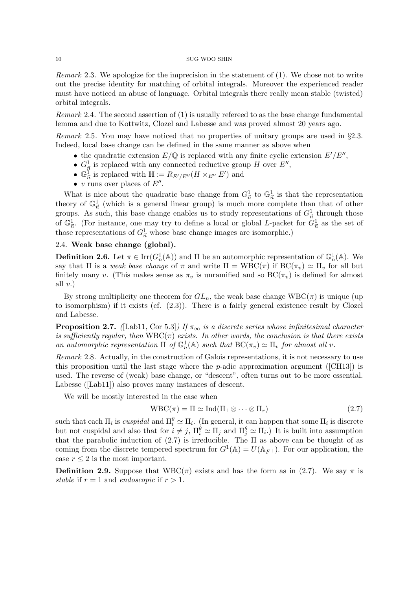Remark 2.3. We apologize for the imprecision in the statement of (1). We chose not to write out the precise identity for matching of orbital integrals. Moreover the experienced reader must have noticed an abuse of language. Orbital integrals there really mean stable (twisted) orbital integrals.

*Remark* 2.4. The second assertion of  $(1)$  is usually referred to as the base change fundamental lemma and due to Kottwitz, Clozel and Labesse and was proved almost 20 years ago.

Remark 2.5. You may have noticed that no properties of unitary groups are used in §2.3. Indeed, local base change can be defined in the same manner as above when

- the quadratic extension  $E/\mathbb{Q}$  is replaced with any finite cyclic extension  $E'/E''$ ,
- $G_{\vec{n}}^1$  is replaced with any connected reductive group H over  $E'',$
- $\mathbb{G}_{\vec{n}}^{\vec{1}}$  is replaced with  $\mathbb{H} := R_{E'/E''}(H \times_{E''} E')$  and
- v runs over places of  $E''$ .

What is nice about the quadratic base change from  $G_{\vec{n}}^1$  to  $\mathbb{G}_{\vec{n}}^1$  is that the representation theory of  $\mathbb{G}_{\vec{n}}^1$  (which is a general linear group) is much more complete than that of other groups. As such, this base change enables us to study representations of  $G_{\vec{n}}^1$  through those of  $\mathbb{G}_{\vec{n}}^1$ . (For instance, one may try to define a local or global L-packet for  $G_{\vec{n}}^1$  as the set of those representations of  $G_{\vec{n}}^1$  whose base change images are isomorphic.)

## 2.4. Weak base change (global).

**Definition 2.6.** Let  $\pi \in \text{Irr}(G_n^1(\mathbb{A}))$  and  $\Pi$  be an automorphic representation of  $\mathbb{G}_n^1(\mathbb{A})$ . We say that  $\Pi$  is a *weak base change* of  $\pi$  and write  $\Pi = \text{WBC}(\pi)$  if  $\text{BC}(\pi_v) \simeq \Pi_v$  for all but finitely many v. (This makes sense as  $\pi_v$  is unramified and so  $BC(\pi_v)$  is defined for almost all  $v.$ )

By strong multiplicity one theorem for  $GL_n$ , the weak base change  $WBC(\pi)$  is unique (up to isomorphism) if it exists (cf. (2.3)). There is a fairly general existence result by Clozel and Labesse.

**Proposition 2.7.** ([Lab11, Cor 5.3]) If  $\pi_{\infty}$  is a discrete series whose infinitesimal character is sufficiently regular, then  $WBC(\pi)$  exists. In other words, the conclusion is that there exists an automorphic representation  $\Pi$  of  $\mathbb{G}_n^1(\mathbb{A})$  such that  $BC(\pi_v) \simeq \Pi_v$  for almost all v.

Remark 2.8. Actually, in the construction of Galois representations, it is not necessary to use this proposition until the last stage where the  $p$ -adic approximation argument ([CH13]) is used. The reverse of (weak) base change, or "descent", often turns out to be more essential. Labesse ([Lab11]) also proves many instances of descent.

We will be mostly interested in the case when

$$
WBC(\pi) = \Pi \simeq \text{Ind}(\Pi_1 \otimes \cdots \otimes \Pi_r) \tag{2.7}
$$

such that each  $\Pi_i$  is *cuspidal* and  $\Pi_i^{\theta} \simeq \Pi_i$ . (In general, it can happen that some  $\Pi_i$  is discrete but not cuspidal and also that for  $i \neq j$ ,  $\Pi_i^{\theta} \simeq \Pi_j$  and  $\Pi_j^{\theta} \simeq \Pi_i$ .) It is built into assumption that the parabolic induction of  $(2.7)$  is irreducible. The  $\Pi$  as above can be thought of as coming from the discrete tempered spectrum for  $G^1(\mathbb{A}) = U(\mathbb{A}_{F^+})$ . For our application, the case  $r \leq 2$  is the most important.

**Definition 2.9.** Suppose that  $WBC(\pi)$  exists and has the form as in (2.7). We say  $\pi$  is stable if  $r = 1$  and endoscopic if  $r > 1$ .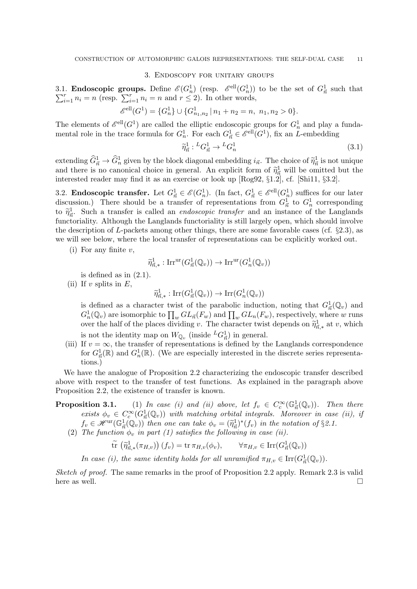## 3. Endoscopy for unitary groups

3.1. **Endoscopic groups.** Define  $\mathcal{E}(G_n^1)$  (resp.  $\mathcal{E}^{\text{ell}}(G_n^1)$ ) to be the set of  $G_{\vec{n}}^1$ ,  $\sum_{i=1}^r n_i = n$  (resp.  $\sum_{i=1}^r n_i = n$  and  $r \leq 2$ ). In other words, l. **Endoscopic groups.** Define  $\mathscr{E}(G_n^1)$  (resp.  $\mathscr{E}^{\text{ell}}(G_n^1)$ ) to be the set of  $G_{\vec{n}}^1$  such that  $r_{i=1}^r n_i = n$  (resp.  $\sum_{i=1}^r n_i = n$  and  $r \leq 2$ ). In other words,

$$
\mathcal{E}^{\text{ell}}(G^1) = \{G_n^1\} \cup \{G_{n_1,n_2}^1 \mid n_1 + n_2 = n, n_1, n_2 > 0\}.
$$

The elements of  $\mathcal{E}^{\text{ell}}(G^1)$  are called the elliptic endoscopic groups for  $G_n^1$  and play a fundamental role in the trace formula for  $G_n^1$ . For each  $G_{\vec{n}}^1 \in \mathcal{E}^{\text{ell}}(G^1)$ , fix an L-embedding

$$
\widetilde{\eta}_{\vec{n}}^1: {}^L G^1_{\vec{n}} \to {}^L G^1_n \tag{3.1}
$$

extending  $\hat{G}_{\vec{n}}^1 \to \hat{G}_{\vec{n}}^1$  given by the block diagonal embedding  $i_{\vec{n}}$ . The choice of  $\hat{\eta}_{\vec{n}}^1$  is not unique<br>and there is no generical choice in general. An evolution of  $\hat{\omega}_{\vec{n}}^1$  will be emitted but and there is no canonical choice in general. An explicit form of  $\tilde{\eta}^1_{\vec{n}}$  will be omitted but the interested reader may find it as an exercise or look up [Bog02, 81.2] of [Shi11, 82.2] interested reader may find it as an exercise or look up [Rog92, §1.2], cf. [Shi11, §3.2].

3.2. **Endoscopic transfer.** Let  $G_{\vec{n}}^1 \in \mathcal{E}(G_n^1)$ . (In fact,  $G_{\vec{n}}^1 \in \mathcal{E}^{\text{ell}}(G_n^1)$  suffices for our later discussion.) There should be a transfer of representations from  $G_{\vec{n}}^1$  to  $G_n^1$  corresponding to  $\tilde{\eta}_n^1$ . Such a transfer is called an *endoscopic transfer* and an instance of the Langlands<br>functoriality. Although the Langlands functoriality is still largely open, which should involve functoriality. Although the Langlands functoriality is still largely open, which should involve the description of L-packets among other things, there are some favorable cases (cf.  $\S 2.3$ ), as we will see below, where the local transfer of representations can be explicitly worked out.

(i) For any finite  $v$ ,

$$
\widetilde{\eta}^1_{\vec{n},*}: \mathrm{Irr}^{\mathrm{ur}}(G^1_{\vec{n}}(\mathbb{Q}_v)) \to \mathrm{Irr}^{\mathrm{ur}}(G^1_n(\mathbb{Q}_v))
$$

is defined as in  $(2.1)$ .

(ii) If v splits in  $E$ ,

$$
\widetilde{\eta}^1_{\vec{n},*}: \mathrm{Irr}(G^1_{\vec{n}}(\mathbb{Q}_v)) \to \mathrm{Irr}(G^1_n(\mathbb{Q}_v))
$$

is defined as a character twist of the parabolic induction, noting that  $G_{\vec{n}}^1(\mathbb{Q}_v)$  and  $G_n^1(\mathbb{Q}_v)$  are isomorphic to  $\prod_w GL_n(F_w)$  and  $\prod_w GL_n(F_w)$ , respectively, where w runs over the half of the places dividing v. The character twist depends on  $\tilde{\eta}^1_{\vec{n},*}$  at v, which is not the identity map on  $W_{\mathbb{Q}_v}$  (inside  ${}^L G^1_{\vec{n}}$ ) in general.

(iii) If  $v = \infty$ , the transfer of representations is defined by the Langlands correspondence for  $G_{\vec{n}}^1(\mathbb{R})$  and  $G_n^1(\mathbb{R})$ . (We are especially interested in the discrete series representations.)

We have the analogue of Proposition 2.2 characterizing the endoscopic transfer described above with respect to the transfer of test functions. As explained in the paragraph above Proposition 2.2, the existence of transfer is known.

# **Proposition 3.1.** (1) In case (i) and (ii) above, let  $f_v \in C_c^{\infty}(\mathbb{G}_{\vec{n}}^1(\mathbb{Q}_v))$ . Then there exists  $\phi_v \in C_c^{\infty}(G_{\vec{n}}^1(\mathbb{Q}_v))$  with matching orbital integrals. Moreover in case (ii), if  $f_v \in \mathscr{H}^{\text{ur}}(\mathbb{G}^1_{\vec{n}}(\mathbb{Q}_v))$  then one can take  $\phi_v = (\widetilde{\eta}^1_{\vec{n}})^*(f_v)$  in the notation of §2.1.<br>The function  $\phi_v$  in part (1) satisfies the following in case (ii)

(2) The function  $\phi_v$  in part (1) satisfies the following in case (ii).

$$
\widetilde{\text{tr}}\left(\widetilde{\eta}^1_{\vec{n},*}(\pi_{H,v})\right)(f_v) = \text{tr}\,\pi_{H,v}(\phi_v), \qquad \forall \pi_{H,v} \in \text{Irr}(G^1_{\vec{n}}(\mathbb{Q}_v))
$$

In case (i), the same identity holds for all unramified  $\pi_{H,v} \in \text{Irr}(G_{\vec{n}}^1(\mathbb{Q}_v)).$ 

Sketch of proof. The same remarks in the proof of Proposition 2.2 apply. Remark 2.3 is valid here as well.  $\Box$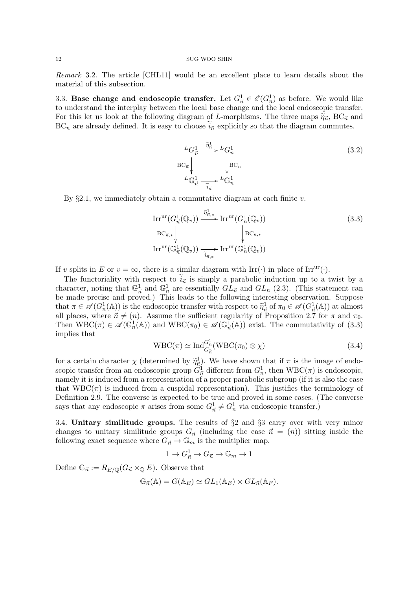Remark 3.2. The article [CHL11] would be an excellent place to learn details about the material of this subsection.

3.3. Base change and endoscopic transfer. Let  $G_{\vec{n}}^1 \in \mathscr{E}(G_n^1)$  as before. We would like to understand the interplay between the local base change and the local endoscopic transfer. For this let us look at the following diagram of L-morphisms. The three maps  $\tilde{\eta}_{\vec{n}}$ , BC<sub> $\vec{n}$ </sub> and  $BC_n$  are already defined. It is easy to choose  $\tilde{i}_{\vec{n}}$  explicitly so that the diagram commutes.

> ${}^L G^1_{\vec{n}} \stackrel{\widetilde{\eta}^1_{\vec{n}}}{\longrightarrow}$  $BC_{\vec{n}}$ ľ  ${}^L G_n^1$  $BC_n$ ľ  ${}^L\mathbb{G}_{\vec{n}}^1$   $\frac{1}{\widetilde{i}_{\vec{n}}}$  $L\mathbb{G}_n^1$ (3.2)

By  $\S 2.1$ , we immediately obtain a commutative diagram at each finite v.

$$
\operatorname{Irr}^{\mathrm{ur}}(G_{\vec{n}}^1(\mathbb{Q}_v)) \xrightarrow{\widetilde{\eta}_{\vec{n},*}^1} \operatorname{Irr}^{\mathrm{ur}}(G_n^1(\mathbb{Q}_v))
$$
\n
$$
\operatorname{BC}_{\vec{n},*} \downarrow \qquad \qquad \downarrow \operatorname{BC}_{n,*}
$$
\n
$$
\operatorname{Irr}^{\mathrm{ur}}(\mathbb{G}_{\vec{n}}^1(\mathbb{Q}_v)) \xrightarrow{\widetilde{i}_{\vec{n},*}} \operatorname{Irr}^{\mathrm{ur}}(\mathbb{G}_n^1(\mathbb{Q}_v))
$$
\n(3.3)

If v splits in E or  $v = \infty$ , there is a similar diagram with Irr(·) in place of Irr<sup>ur</sup>(·).

The functoriality with respect to  $i_{\vec{n}}$  is simply a parabolic induction up to a twist by a character, noting that  $\mathbb{G}_{\vec{n}}^1$  and  $\mathbb{G}_n^1$  are essentially  $GL_{\vec{n}}$  and  $GL_n$  (2.3). (This statement can be made precise and proved.) This leads to the following interesting observation. Suppose that  $\pi \in \mathscr{A}(G_n^1(\mathbb{A}))$  is the endoscopic transfer with respect to  $\widetilde{\eta}_n^1$  of  $\pi_0 \in \mathscr{A}(G_n^1(\mathbb{A}))$  at almost<br>all places, where  $\vec{\sigma} \neq (n)$ . Assume the sufficient regularity of Proposition 2.7 for  $\pi$  and all places, where  $\vec{n} \neq (n)$ . Assume the sufficient regularity of Proposition 2.7 for  $\pi$  and  $\pi_0$ . Then  $WBC(\pi) \in \mathscr{A}(\mathbb{G}_n^1(\mathbb{A}))$  and  $WBC(\pi_0) \in \mathscr{A}(\mathbb{G}_n^1(\mathbb{A}))$  exist. The commutativity of (3.3) implies that

$$
WBC(\pi) \simeq \mathrm{Ind}_{G_{\vec{n}}}^{G_n^1} (WBC(\pi_0) \otimes \chi)
$$
\n(3.4)

for a certain character  $\chi$  (determined by  $\tilde{\eta}^1_{\vec{n}}$ ). We have shown that if  $\pi$  is the image of endo-<br>ceopic transfer from an andexesnic group  $C^1$  different from  $C^1$  then  $WBC(\pi)$  is andexesnic. scopic transfer from an endoscopic group  $G_{\vec{n}}^1$  different from  $G_n^1$ , then  $WBC(\pi)$  is endoscopic, namely it is induced from a representation of a proper parabolic subgroup (if it is also the case that  $WBC(\pi)$  is induced from a cuspidal representation). This justifies the terminology of Definition 2.9. The converse is expected to be true and proved in some cases. (The converse says that any endoscopic  $\pi$  arises from some  $G_{\vec{n}}^1 \neq G_n^1$  via endoscopic transfer.)

3.4. Unitary similitude groups. The results of §2 and §3 carry over with very minor changes to unitary similitude groups  $G_{\vec{n}}$  (including the case  $\vec{n} = (n)$ ) sitting inside the following exact sequence where  $G_{\vec{n}} \to \mathbb{G}_m$  is the multiplier map.

$$
1 \to G^1_{\vec{n}} \to G_{\vec{n}} \to \mathbb{G}_m \to 1
$$

Define  $\mathbb{G}_{\vec{n}} := R_{E/\mathbb{Q}}(G_{\vec{n}} \times_{\mathbb{Q}} E)$ . Observe that

$$
\mathbb{G}_{\vec{n}}(\mathbb{A}) = G(\mathbb{A}_E) \simeq GL_1(\mathbb{A}_E) \times GL_{\vec{n}}(\mathbb{A}_F).
$$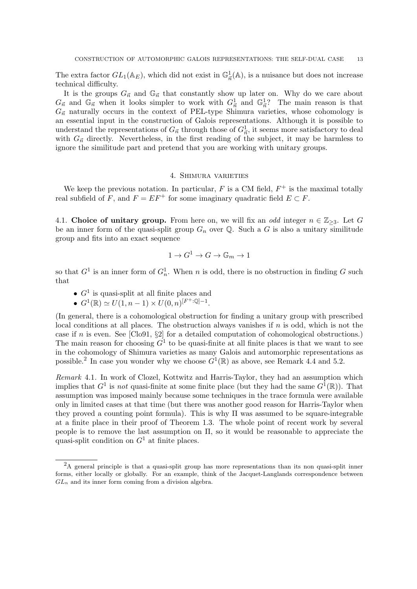The extra factor  $GL_1(\mathbb{A}_E)$ , which did not exist in  $\mathbb{G}^1_{\vec{n}}(\mathbb{A})$ , is a nuisance but does not increase technical difficulty.

It is the groups  $G_{\vec{n}}$  and  $\mathbb{G}_{\vec{n}}$  that constantly show up later on. Why do we care about  $G_{\vec{n}}$  and  $\mathbb{G}_{\vec{n}}$  when it looks simpler to work with  $G_{\vec{n}}^1$  and  $\mathbb{G}_{\vec{n}}^1$ ? The main reason is that  $G_{\vec{n}}$  naturally occurs in the context of PEL-type Shimura varieties, whose cohomology is an essential input in the construction of Galois representations. Although it is possible to understand the representations of  $G_{\vec{n}}$  through those of  $G_{\vec{n}}^1$ , it seems more satisfactory to deal with  $G_{\vec{n}}$  directly. Nevertheless, in the first reading of the subject, it may be harmless to ignore the similitude part and pretend that you are working with unitary groups.

## 4. Shimura varieties

We keep the previous notation. In particular,  $F$  is a CM field,  $F^+$  is the maximal totally real subfield of F, and  $F = EF^+$  for some imaginary quadratic field  $E \subset F$ .

4.1. Choice of unitary group. From here on, we will fix an odd integer  $n \in \mathbb{Z}_{\geq 3}$ . Let G be an inner form of the quasi-split group  $G_n$  over Q. Such a G is also a unitary similitude group and fits into an exact sequence

$$
1 \to G^1 \to G \to \mathbb{G}_m \to 1
$$

so that  $G^1$  is an inner form of  $G_n^1$ . When n is odd, there is no obstruction in finding G such that

- $G<sup>1</sup>$  is quasi-split at all finite places and
- $G^1(\mathbb{R}) \simeq U(1, n-1) \times U(0, n)^{[F^+:\mathbb{Q}]-1}.$

(In general, there is a cohomological obstruction for finding a unitary group with prescribed local conditions at all places. The obstruction always vanishes if  $n$  is odd, which is not the case if n is even. See [Clo91,  $\S2$ ] for a detailed computation of cohomological obstructions.) The main reason for choosing  $G^1$  to be quasi-finite at all finite places is that we want to see in the cohomology of Shimura varieties as many Galois and automorphic representations as possible.<sup>2</sup> In case you wonder why we choose  $G^1(\mathbb{R})$  as above, see Remark 4.4 and 5.2.

Remark 4.1. In work of Clozel, Kottwitz and Harris-Taylor, they had an assumption which implies that  $G^1$  is not quasi-finite at some finite place (but they had the same  $G^1(\mathbb{R})$ ). That assumption was imposed mainly because some techniques in the trace formula were available only in limited cases at that time (but there was another good reason for Harris-Taylor when they proved a counting point formula). This is why  $\Pi$  was assumed to be square-integrable at a finite place in their proof of Theorem 1.3. The whole point of recent work by several people is to remove the last assumption on Π, so it would be reasonable to appreciate the quasi-split condition on  $G<sup>1</sup>$  at finite places.

<sup>&</sup>lt;sup>2</sup>A general principle is that a quasi-split group has more representations than its non quasi-split inner forms, either locally or globally. For an example, think of the Jacquet-Langlands correspondence between  $GL_n$  and its inner form coming from a division algebra.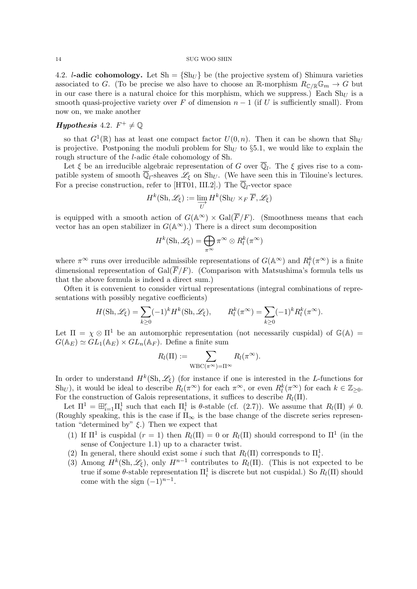4.2. *l*-adic cohomology. Let  $\text{Sh} = \{ \text{Sh}_U \}$  be (the projective system of) Shimura varieties associated to G. (To be precise we also have to choose an R-morphism  $R_{\mathbb{C}/\mathbb{R}}\mathbb{G}_m \to G$  but in our case there is a natural choice for this morphism, which we suppress.) Each  $\text{Sh}_{U}$  is a smooth quasi-projective variety over F of dimension  $n-1$  (if U is sufficiently small). From now on, we make another

# **Hypothesis** 4.2.  $F^+ \neq \mathbb{Q}$

so that  $G^1(\mathbb{R})$  has at least one compact factor  $U(0, n)$ . Then it can be shown that  $\text{Sh}_U$ is projective. Postponing the moduli problem for  $Sh_U$  to §5.1, we would like to explain the rough structure of the  $l$ -adic étale cohomology of Sh.

Let  $\xi$  be an irreducible algebraic representation of G over  $\overline{\mathbb{Q}}_l$ . The  $\xi$  gives rise to a compatible system of smooth  $\overline{\mathbb{Q}}_l$ -sheaves  $\mathscr{L}_\xi$  on Sh<sub>U</sub>. (We have seen this in Tilouine's lectures. For a precise construction, refer to [HT01, III.2].) The  $\overline{\mathbb{Q}}_l$ -vector space

$$
H^k(\mathrm{Sh}, \mathscr{L}_\xi) := \varinjlim_U H^k(\mathrm{Sh}_U \times_F \overline{F}, \mathscr{L}_\xi)
$$

is equipped with a smooth action of  $G(\mathbb{A}^{\infty}) \times \text{Gal}(\overline{F}/F)$ . (Smoothness means that each vector has an open stabilizer in  $G(\mathbb{A}^{\infty})$ .) There is a direct sum decomposition

$$
H^k(\mathrm{Sh}, \mathscr{L}_\xi) = \bigoplus_{\pi^\infty} \pi^\infty \otimes R_l^k(\pi^\infty)
$$

where  $\pi^{\infty}$  runs over irreducible admissible representations of  $G(\mathbb{A}^{\infty})$  and  $R_l^k(\pi^{\infty})$  is a finite dimensional representation of Gal( $\overline{F}/F$ ). (Comparison with Matsushima's formula tells us that the above formula is indeed a direct sum.)

Often it is convenient to consider virtual representations (integral combinations of representations with possibly negative coefficients)

$$
H(\mathrm{Sh}, \mathscr{L}_{\xi}) = \sum_{k \ge 0} (-1)^k H^k(\mathrm{Sh}, \mathscr{L}_{\xi}), \qquad R_l^k(\pi^{\infty}) = \sum_{k \ge 0} (-1)^k R_l^k(\pi^{\infty}).
$$

Let  $\Pi = \chi \otimes \Pi^1$  be an automorphic representation (not necessarily cuspidal) of  $\mathbb{G}(\mathbb{A}) =$  $G(\mathbb{A}_E) \simeq GL_1(\mathbb{A}_E) \times GL_n(\mathbb{A}_F)$ . Define a finite sum

$$
R_l(\Pi) := \sum_{\text{WBC}(\pi^{\infty}) = \Pi^{\infty}} R_l(\pi^{\infty}).
$$

In order to understand  $H^k(\text{Sh}, \mathscr{L}_{\xi})$  (for instance if one is interested in the L-functions for Sh<sub>U</sub>), it would be ideal to describe  $R_l(\pi^{\infty})$  for each  $\pi^{\infty}$ , or even  $R_l^k(\pi^{\infty})$  for each  $k \in \mathbb{Z}_{\geq 0}$ . For the construction of Galois representations, it suffices to describe  $R_l(\Pi)$ .

Let  $\Pi^1 = \boxplus_{i=1}^r \Pi_i^1$  such that each  $\Pi_i^1$  is  $\theta$ -stable (cf. (2.7)). We assume that  $R_l(\Pi) \neq 0$ . (Roughly speaking, this is the case if  $\Pi_{\infty}$  is the base change of the discrete series representation "determined by"  $\xi$ .) Then we expect that

- (1) If  $\Pi^1$  is cuspidal  $(r = 1)$  then  $R_l(\Pi) = 0$  or  $R_l(\Pi)$  should correspond to  $\Pi^1$  (in the sense of Conjecture 1.1) up to a character twist.
- (2) In general, there should exist some *i* such that  $R_l(\Pi)$  corresponds to  $\Pi_i^1$ .
- (3) Among  $H^k(\text{Sh}, \mathscr{L}_{\xi})$ , only  $H^{n-1}$  contributes to  $R_l(\Pi)$ . (This is not expected to be true if some  $\theta$ -stable representation  $\Pi_i^1$  is discrete but not cuspidal.) So  $R_l(\Pi)$  should come with the sign  $(-1)^{n-1}$ .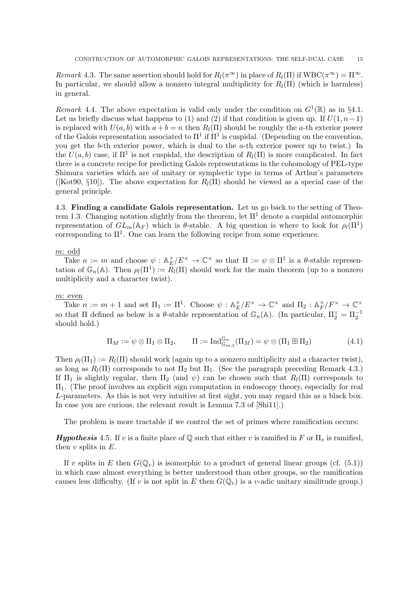Remark 4.3. The same assertion should hold for  $R_l(\pi^{\infty})$  in place of  $R_l(\Pi)$  if  $WBC(\pi^{\infty}) = \Pi^{\infty}$ . In particular, we should allow a nonzero integral multiplicity for  $R_l(\Pi)$  (which is harmless) in general.

Remark 4.4. The above expectation is valid only under the condition on  $G^1(\mathbb{R})$  as in §4.1. Let us briefly discuss what happens to (1) and (2) if that condition is given up. If  $U(1, n-1)$ is replaced with  $U(a, b)$  with  $a + b = n$  then  $R_l(\Pi)$  should be roughly the a-th exterior power of the Galois representation associated to  $\Pi^1$  if  $\Pi^1$  is cuspidal. (Depending on the convention, you get the b-th exterior power, which is dual to the a-th exterior power up to twist.) In the  $U(a, b)$  case, if  $\Pi^1$  is not cuspidal, the description of  $R_l(\Pi)$  is more complicated. In fact there is a concrete recipe for predicting Galois representations in the cohomology of PEL-type Shimura varieties which are of unitary or symplectic type in terms of Arthur's parameters ([Kot90, §10]). The above expectation for  $R_l(\Pi)$  should be viewed as a special case of the general principle.

4.3. Finding a candidate Galois representation. Let us go back to the setting of Theorem 1.3. Changing notation slightly from the theorem, let  $\Pi^1$  denote a cuspidal automorphic representation of  $GL_m(\mathbb{A}_F)$  which is  $\theta$ -stable. A big question is where to look for  $\rho_l(\Pi^1)$ corresponding to  $\Pi^1$ . One can learn the following recipe from some experience.

## m: odd

Take  $n := m$  and choose  $\psi : \mathbb{A}_E^{\times}$  $E/E^{\times} \to \mathbb{C}^{\times}$  so that  $\Pi := \psi \otimes \Pi^{1}$  is a  $\theta$ -stable representation of  $\mathbb{G}_n(\mathbb{A})$ . Then  $\rho_l(\Pi^1) := \overline{R}_l(\Pi)$  should work for the main theorem (up to a nonzero multiplicity and a character twist).

## m: even

Take  $n := m + 1$  and set  $\Pi_1 := \Pi^1$ . Choose  $\psi : \mathbb{A}_E^{\times}$  $E/K^\times \to \mathbb{C}^\times$  and  $\Pi_2 : \mathbb{A}_F^\times$  $_{F}^{\times}/F^{\times} \rightarrow \mathbb{C}^{\times}$ so that  $\Pi$  defined as below is a  $\theta$ -stable representation of  $\mathbb{G}_n(\mathbb{A})$ . (In particular,  $\Pi_2^{\vee} = \Pi_2^{-1}$ should hold.)

$$
\Pi_M := \psi \otimes \Pi_1 \otimes \Pi_2, \qquad \Pi := \mathrm{Ind}_{\mathbb{G}_{m,1}}^{\mathbb{G}_n}(\Pi_M) = \psi \otimes (\Pi_1 \boxplus \Pi_2)
$$
(4.1)

Then  $\rho_l(\Pi_1) := R_l(\Pi)$  should work (again up to a nonzero multiplicity and a character twist), as long as  $R_l(\Pi)$  corresponds to not  $\Pi_2$  but  $\Pi_1$ . (See the paragraph preceding Remark 4.3.) If  $\Pi_1$  is slightly regular, then  $\Pi_2$  (and  $\psi$ ) can be chosen such that  $R_l(\Pi)$  corresponds to  $\Pi_1$ . (The proof involves an explicit sign computation in endoscopy theory, especially for real L-parameters. As this is not very intuitive at first sight, you may regard this as a black box. In case you are curious, the relevant result is Lemma 7.3 of [Shi11].)

The problem is more tractable if we control the set of primes where ramification occurs:

**Hypothesis** 4.5. If v is a finite place of  $\mathbb{Q}$  such that either v is ramified in F or  $\Pi_v$  is ramified, then  $v$  splits in  $E$ .

If v splits in E then  $G(\mathbb{Q}_n)$  is isomorphic to a product of general linear groups (cf. (5.1)) in which case almost everything is better understood than other groups, so the ramification causes less difficulty. (If v is not split in E then  $G(\mathbb{Q}_v)$  is a v-adic unitary similitude group.)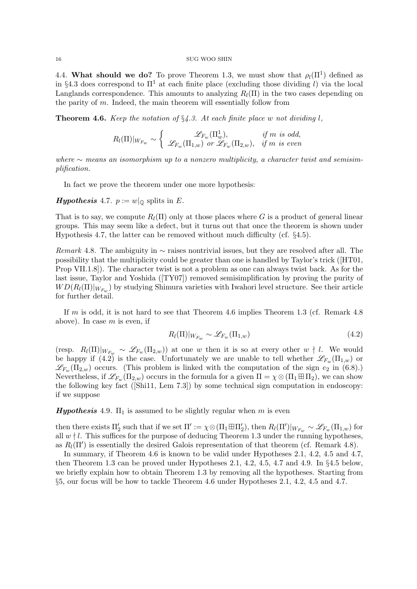4.4. What should we do? To prove Theorem 1.3, we must show that  $\rho_l(\Pi^1)$  defined as in §4.3 does correspond to  $\Pi^1$  at each finite place (excluding those dividing l) via the local Langlands correspondence. This amounts to analyzing  $R_l(\Pi)$  in the two cases depending on the parity of  $m$ . Indeed, the main theorem will essentially follow from

**Theorem 4.6.** Keep the notation of  $\S 4.3$ . At each finite place w not dividing l,

$$
R_l(\Pi)|_{W_{F_w}} \sim \left\{ \begin{array}{cc} \mathscr{L}_{F_w}(\Pi_w^1), & \text{if $m$ is odd,} \\ \mathscr{L}_{F_w}(\Pi_{1,w}) & \text{or } \mathscr{L}_{F_w}(\Pi_{2,w}), & \text{if $m$ is even} \end{array} \right.
$$

where  $\sim$  means an isomorphism up to a nonzero multiplicity, a character twist and semisimplification.

In fact we prove the theorem under one more hypothesis:

**Hypothesis** 4.7.  $p := w|_{\mathbb{Q}}$  splits in E.

That is to say, we compute  $R_l(\Pi)$  only at those places where G is a product of general linear groups. This may seem like a defect, but it turns out that once the theorem is shown under Hypothesis 4.7, the latter can be removed without much difficulty (cf. §4.5).

Remark 4.8. The ambiguity in  $\sim$  raises nontrivial issues, but they are resolved after all. The possibility that the multiplicity could be greater than one is handled by Taylor's trick ([HT01, Prop VII.1.8]). The character twist is not a problem as one can always twist back. As for the last issue, Taylor and Yoshida ( $[TY07]$ ) removed semisimplification by proving the purity of  $WD(R_l(\Pi)|_{W_{F_w}})$  by studying Shimura varieties with Iwahori level structure. See their article for further detail.

If  $m$  is odd, it is not hard to see that Theorem 4.6 implies Theorem 1.3 (cf. Remark 4.8) above). In case  $m$  is even, if

$$
R_l(\Pi)|_{W_{F_w}} \sim \mathcal{L}_{F_w}(\Pi_{1,w})
$$
\n(4.2)

(resp.  $R_l(\Pi)|_{W_{F_w}} \sim \mathscr{L}_{F_w}(\Pi_{2,w})$ ) at one w then it is so at every other  $w \nmid l$ . We would be happy if (4.2) is the case. Unfortunately we are unable to tell whether  $\mathscr{L}_{F_w}(\Pi_{1,w})$  or  $\mathscr{L}_{F_w}(\Pi_{2,w})$  occurs. (This problem is linked with the computation of the sign  $e_2$  in (6.8).) Nevertheless, if  $\mathscr{L}_{F_w}(\Pi_{2,w})$  occurs in the formula for a given  $\Pi = \chi \otimes (\Pi_1 \boxplus \Pi_2)$ , we can show the following key fact ([Shi11, Lem 7.3]) by some technical sign computation in endoscopy: if we suppose

**Hypothesis** 4.9.  $\Pi_1$  is assumed to be slightly regular when m is even

then there exists  $\Pi_2'$  such that if we set  $\Pi' := \chi \otimes (\Pi_1 \boxplus \Pi_2'),$  then  $R_l(\Pi')|_{W_{F_w}} \sim \mathscr{L}_{F_w}(\Pi_{1,w})$  for all  $w \nmid l$ . This suffices for the purpose of deducing Theorem 1.3 under the running hypotheses, as  $R_l(\Pi')$  is essentially the desired Galois representation of that theorem (cf. Remark 4.8).

In summary, if Theorem 4.6 is known to be valid under Hypotheses 2.1, 4.2, 4.5 and 4.7, then Theorem 1.3 can be proved under Hypotheses 2.1, 4.2, 4.5, 4.7 and 4.9. In  $\S 4.5$  below, we briefly explain how to obtain Theorem 1.3 by removing all the hypotheses. Starting from §5, our focus will be how to tackle Theorem 4.6 under Hypotheses 2.1, 4.2, 4.5 and 4.7.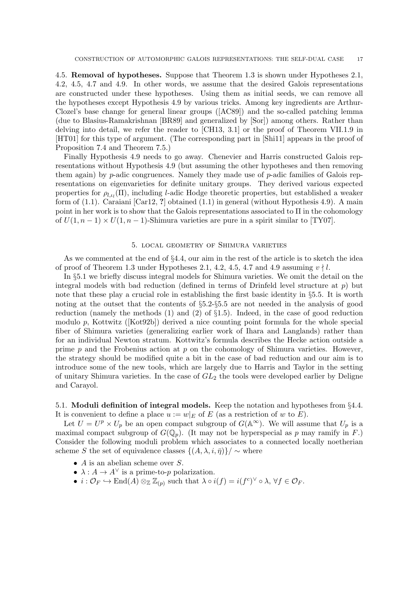4.5. Removal of hypotheses. Suppose that Theorem 1.3 is shown under Hypotheses 2.1, 4.2, 4.5, 4.7 and 4.9. In other words, we assume that the desired Galois representations are constructed under these hypotheses. Using them as initial seeds, we can remove all the hypotheses except Hypothesis 4.9 by various tricks. Among key ingredients are Arthur-Clozel's base change for general linear groups ([AC89]) and the so-called patching lemma (due to Blasius-Ramakrishnan [BR89] and generalized by [Sor]) among others. Rather than delving into detail, we refer the reader to [CH13, 3.1] or the proof of Theorem VII.1.9 in [HT01] for this type of argument. (The corresponding part in [Shi11] appears in the proof of Proposition 7.4 and Theorem 7.5.)

Finally Hypothesis 4.9 needs to go away. Chenevier and Harris constructed Galois representations without Hypothesis 4.9 (but assuming the other hypotheses and then removing them again) by  $p$ -adic congruences. Namely they made use of  $p$ -adic families of Galois representations on eigenvarieties for definite unitary groups. They derived various expected properties for  $\rho_{l,\iota_l}(\Pi)$ , including *l*-adic Hodge theoretic properties, but established a weaker form of (1.1). Caraiani [Car12, ?] obtained (1.1) in general (without Hypothesis 4.9). A main point in her work is to show that the Galois representations associated to  $\Pi$  in the cohomology of  $U(1, n-1) \times U(1, n-1)$ -Shimura varieties are pure in a spirit similar to [TY07].

## 5. local geometry of Shimura varieties

As we commented at the end of §4.4, our aim in the rest of the article is to sketch the idea of proof of Theorem 1.3 under Hypotheses 2.1, 4.2, 4.5, 4.7 and 4.9 assuming  $v \nmid l$ .

In §5.1 we briefly discuss integral models for Shimura varieties. We omit the detail on the integral models with bad reduction (defined in terms of Drinfeld level structure at  $p$ ) but note that these play a crucial role in establishing the first basic identity in §5.5. It is worth noting at the outset that the contents of §5.2-§5.5 are not needed in the analysis of good reduction (namely the methods (1) and (2) of §1.5). Indeed, in the case of good reduction modulo p, Kottwitz ([Kot92b]) derived a nice counting point formula for the whole special fiber of Shimura varieties (generalizing earlier work of Ihara and Langlands) rather than for an individual Newton stratum. Kottwitz's formula describes the Hecke action outside a prime  $p$  and the Frobenius action at  $p$  on the cohomology of Shimura varieties. However, the strategy should be modified quite a bit in the case of bad reduction and our aim is to introduce some of the new tools, which are largely due to Harris and Taylor in the setting of unitary Shimura varieties. In the case of  $GL_2$  the tools were developed earlier by Deligne and Carayol.

## 5.1. Moduli definition of integral models. Keep the notation and hypotheses from §4.4.

It is convenient to define a place  $u := w|_E$  of E (as a restriction of w to E).

Let  $U = U^p \times U_p$  be an open compact subgroup of  $G(\mathbb{A}^{\infty})$ . We will assume that  $U_p$  is a maximal compact subgroup of  $G(\mathbb{Q}_p)$ . (It may not be hyperspecial as p may ramify in F.) Consider the following moduli problem which associates to a connected locally noetherian scheme S the set of equivalence classes  $\{(A, \lambda, i, \bar{\eta})\}/\sim$  where

- $A$  is an abelian scheme over  $S$ .
- $\lambda: A \to A^{\vee}$  is a prime-to-p polarization.
- $i: \mathcal{O}_F \hookrightarrow \text{End}(A) \otimes_{\mathbb{Z}} \mathbb{Z}_{(p)}$  such that  $\lambda \circ i(f) = i(f^c)^\vee \circ \lambda, \forall f \in \mathcal{O}_F$ .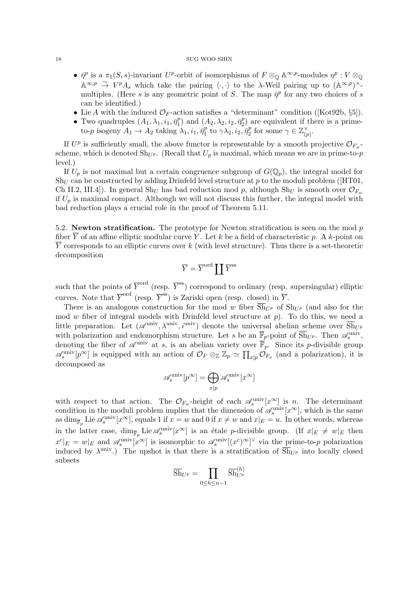- $\bar{\eta}^p$  is a  $\pi_1(S, s)$ -invariant U<sup>p</sup>-orbit of isomorphisms of  $F \otimes_{\mathbb{Q}} \mathbb{A}^{\infty, p}$ -modules  $\eta^p : V \otimes_{\mathbb{Q}} \mathbb{A}^p$  $\mathbb{A}^{\infty,p} \stackrel{\sim}{\to} V^p A_s$  which take the pairing  $\langle \cdot, \cdot \rangle$  to the  $\lambda$ -Weil pairing up to  $(\mathbb{A}^{\infty,p})^{\times}$ . multiples. (Here s is any geometric point of S. The map  $\bar{\eta}^p$  for any two choices of s can be identified.)
- Lie A with the induced  $\mathcal{O}_F$ -action satisfies a "determinant" condition ([Kot92b, §5]).
- Two quadruples  $(A_1, \lambda_1, i_1, \bar{\eta}_1^p)$  $\tilde{p}_1^p$ ) and  $(A_2, \lambda_2, i_2, \bar{\eta}_2^p)$  $2<sup>p</sup>$  are equivalent if there is a primeto-p isogeny  $A_1 \rightarrow A_2$  taking  $\lambda_1, i_1, \bar{\eta}_1^p$  $\hat{\vec{p}}_1^p$  to  $\gamma \lambda_2, i_2, \bar{\eta}_2^p$  $\mathbb{Z}_2^p$  for some  $\gamma \in \mathbb{Z}_{(p)}^{\times}$  $\check{\;}_{(p)}$  .

If  $U^p$  is sufficiently small, the above functor is representable by a smooth projective  $\mathcal{O}_{F_w}$ scheme, which is denoted  $\text{Sh}_{U^p}$ . (Recall that  $U_p$  is maximal, which means we are in prime-to-p level.)

If  $U_p$  is not maximal but a certain congruence subgroup of  $G(\mathbb{Q}_p)$ , the integral model for  $\text{Sh}_U$  can be constructed by adding Drinfeld level structure at p to the moduli problem ([HT01, Ch II.2, III.4]). In general Sh<sub>U</sub> has bad reduction mod p, although Sh<sub>U</sub> is smooth over  $\mathcal{O}_{F_w}$ if  $U_p$  is maximal compact. Although we will not discuss this further, the integral model with bad reduction plays a crucial role in the proof of Theorem 5.11.

5.2. Newton stratification. The prototype for Newton stratification is seen on the mod  $p$ fiber  $\overline{Y}$  of an affine elliptic modular curve Y. Let k be a field of characteristic p. A k-point on  $\overline{Y}$  corresponds to an elliptic curves over k (with level structure). Thus there is a set-theoretic decomposition

$$
\overline{Y} = \overline{Y}^{\operatorname{ord}} \coprod \overline{Y}^{\operatorname{ss}}
$$

such that the points of  $\overline{Y}^{\text{ord}}$  (resp.  $\overline{Y}^{\text{ss}}$ ) correspond to ordinary (resp. supersingular) elliptic curves. Note that  $\overline{Y}^{\text{ord}}$  (resp.  $\overline{Y}^{\text{ss}}$ ) is Zariski open (resp. closed) in  $\overline{Y}$ .

There is an analogous construction for the mod w fiber  $\overline{\text{Sh}}_{U^p}$  of  $\text{Sh}_{U^p}$  (and also for the mod  $w$  fiber of integral models with Drinfeld level structure at  $p$ ). To do this, we need a little preparation. Let  $(\mathscr{A}^{\text{univ}}, \lambda^{\text{univ}}, i^{\text{univ}})$  denote the universal abelian scheme over  $\overline{\text{Sh}}_{U^p}$ with polarization and endomorphism structure. Let s be an  $\overline{\mathbb{F}}_p$ -point of  $\overline{\text{Sh}}_{U^p}$ . Then  $\mathscr{A}_s^{\text{univ}}$ , denoting the fiber of  $\mathscr{A}^{\text{univ}}$  at s, is an abelian variety over  $\overline{\mathbb{F}}_p$ . Since its p-divisible group  $\mathscr{A}_s^{\text{univ}}[p^\infty]$  is equipped with an action of  $\mathcal{O}_F \otimes_{\mathbb{Z}} \mathbb{Z}_p \simeq \prod_{x|p} \mathcal{O}_{F_x}$  (and a polarization), it is decomposed as

$$
\mathscr{A}_s^{\text{univ}}[p^\infty] = \bigoplus_{x|p} \mathscr{A}_s^{\text{univ}}[x^\infty]
$$

with respect to that action. The  $\mathcal{O}_{F_w}$ -height of each  $\mathscr{A}_s^{\text{univ}}[x^\infty]$  is n. The determinant condition in the moduli problem implies that the dimension of  $\mathscr{A}_s^{\text{univ}}[x^\infty]$ , which is the same as  $\dim_{\overline{\mathbb{F}}_p}$  Lie  $\mathscr{A}_s^{\text{univ}}[x^\infty]$ , equals 1 if  $x = w$  and 0 if  $x \neq w$  and  $x|_E = u$ . In other words, whereas in the latter case,  $\dim_{\overline{\mathbb{F}}_p} \text{Lie} \mathscr{A}_s^{\text{univ}}[x^\infty]$  is an étale *p*-divisible group. (If  $x|_E \neq w|_E$  then  $x^c|_E = w|_E$  and  $\mathscr{A}_s^{\text{univ}}[x^{\infty}]$  is isomorphic to  $\mathscr{A}_s^{\text{univ}}[(x^c)^{\infty}]^{\vee}$  via the prime-to-p polarization induced by  $\lambda^{\text{univ}}$ .) The upshot is that there is a stratification of  $\overline{\text{Sh}}_{U^p}$  into locally closed subsets

$$
\overline{\mathrm{Sh}}_{U^p} = \prod_{0 \le h \le n-1} \overline{\mathrm{Sh}}_{U^p}^{(h)}
$$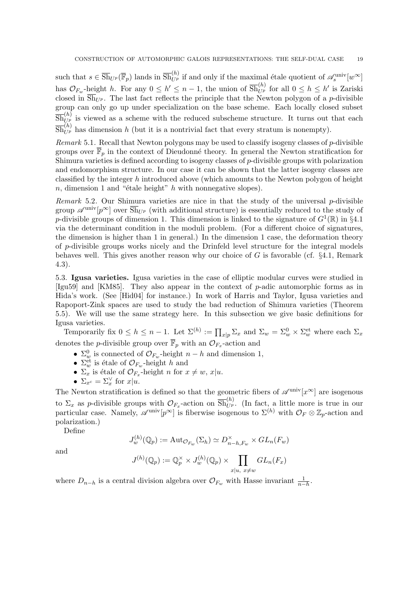such that  $s \in \overline{Sh}_{U^p}(\overline{\mathbb{F}}_p)$  lands in  $\overline{Sh}_{U^p}^{(h)}$  if and only if the maximal étale quotient of  $\mathscr{A}_s^{\text{univ}}[w^\infty]$ has  $\mathcal{O}_{F_w}$ -height h. For any  $0 \le h' \le n-1$ , the union of  $\overline{\text{Sh}}_{U^p}^{(h)}$  for all  $0 \le h \le h'$  is Zariski closed in  $\overline{\text{Sh}}_{U^p}$ . The last fact reflects the principle that the Newton polygon of a p-divisible group can only go up under specialization on the base scheme. Each locally closed subset  $\overline{Sh}_{U_{\cdot}^{p}}^{(h)}$  is viewed as a scheme with the reduced subscheme structure. It turns out that each  $\overline{\text{Sh}}_{U^p}^{(h)}$  has dimension h (but it is a nontrivial fact that every stratum is nonempty).

*Remark* 5.1. Recall that Newton polygons may be used to classify isogeny classes of  $p$ -divisible groups over  $\overline{\mathbb{F}}_p$  in the context of Dieudonné theory. In general the Newton stratification for Shimura varieties is defined according to isogeny classes of  $p$ -divisible groups with polarization and endomorphism structure. In our case it can be shown that the latter isogeny classes are classified by the integer  $h$  introduced above (which amounts to the Newton polygon of height  $n$ , dimension 1 and "étale height"  $h$  with nonnegative slopes).

Remark 5.2. Our Shimura varieties are nice in that the study of the universal  $p$ -divisible group  $\mathscr{A}^{\text{univ}}[p^{\infty}]$  over  $\overline{\text{Sh}}_{U^p}$  (with additional structure) is essentially reduced to the study of p-divisible groups of dimension 1. This dimension is linked to the signature of  $G^1(\mathbb{R})$  in §4.1 via the determinant condition in the moduli problem. (For a different choice of signatures, the dimension is higher than 1 in general.) In the dimension 1 case, the deformation theory of p-divisible groups works nicely and the Drinfeld level structure for the integral models behaves well. This gives another reason why our choice of  $G$  is favorable (cf. §4.1, Remark 4.3).

5.3. Igusa varieties. Igusa varieties in the case of elliptic modular curves were studied in [Igu59] and [KM85]. They also appear in the context of p-adic automorphic forms as in Hida's work. (See [Hid04] for instance.) In work of Harris and Taylor, Igusa varieties and Rapoport-Zink spaces are used to study the bad reduction of Shimura varieties (Theorem 5.5). We will use the same strategy here. In this subsection we give basic definitions for Igusa varieties.

Temporarily fix  $0 \le h \le n-1$ . Let  $\Sigma^{(h)} := \prod_{x|p} \Sigma_x$  and  $\Sigma_w = \Sigma_w^0 \times \Sigma_w^{\text{et}}$  where each  $\Sigma_x$ denotes the *p*-divisible group over  $\overline{\mathbb{F}}_p$  with an  $\mathcal{O}_{F_x}$ -action and

- $\Sigma_w^0$  is connected of  $\mathcal{O}_{F_w}$ -height  $n-h$  and dimension 1,
- $\Sigma_w^{\text{et}}$  is étale of  $\mathcal{O}_{F_w}$ -height h and
- $\Sigma_x$  is étale of  $\mathcal{O}_{F_x}$ -height n for  $x \neq w$ ,  $x|u$ .
- $\Sigma_{x^c} = \Sigma_x^{\vee}$  for  $x|u$ .

The Newton stratification is defined so that the geometric fibers of  $\mathscr{A}^{\text{univ}}[x^{\infty}]$  are isogenous to  $\Sigma_x$  as p-divisible groups with  $\mathcal{O}_{F_x}$ -action on  $\overline{\text{Sh}}_{U^p}^{(h)}$ . (In fact, a little more is true in our particular case. Namely,  $\mathscr{A}^{\text{univ}}[p^{\infty}]$  is fiberwise isogenous to  $\Sigma^{(h)}$  with  $\mathcal{O}_F \otimes \mathbb{Z}_p$ -action and polarization.)

Define

$$
J_w^{(h)}(\mathbb{Q}_p) := \text{Aut}_{\mathcal{O}_{F_w}}(\Sigma_h) \simeq D_{n-h,F_w}^{\times} \times GL_n(F_w)
$$

and

$$
J^{(h)}(\mathbb{Q}_p) := \mathbb{Q}_p^{\times} \times J_w^{(h)}(\mathbb{Q}_p) \times \prod_{x|u, x \neq w} GL_n(F_x)
$$

where  $D_{n-h}$  is a central division algebra over  $\mathcal{O}_{F_w}$  with Hasse invariant  $\frac{1}{n-h}$ .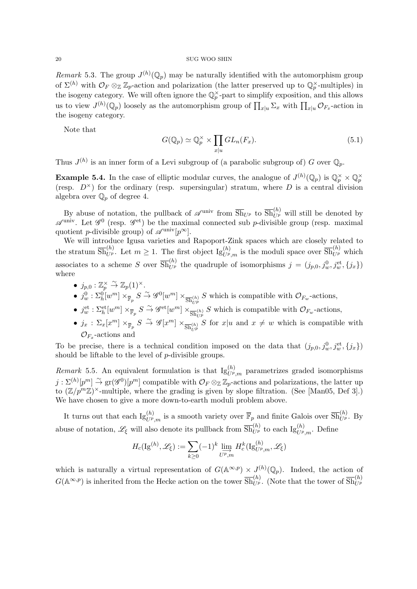Remark 5.3. The group  $J^{(h)}(\mathbb{Q}_p)$  may be naturally identified with the automorphism group of  $\Sigma^{(h)}$  with  $\mathcal{O}_F \otimes_{\mathbb{Z}} \mathbb{Z}_p$ -action and polarization (the latter preserved up to  $\mathbb{Q}_p^{\times}$ -multiples) in the isogeny category. We will often ignore the  $\mathbb{Q}_p^{\times}$ -part to simplify exposition, and this allows us to view  $J^{(h)}(\mathbb{Q}_p)$  loosely as the automorphism group of  $\prod_{x|u} \Sigma_x$  with  $\prod_{x|u} \mathcal{O}_{F_x}$ -action in the isogeny category.

Note that

$$
G(\mathbb{Q}_p) \simeq \mathbb{Q}_p^{\times} \times \prod_{x|u} GL_n(F_x). \tag{5.1}
$$

Thus  $J^{(h)}$  is an inner form of a Levi subgroup of (a parabolic subgroup of) G over  $\mathbb{Q}_p$ .

**Example 5.4.** In the case of elliptic modular curves, the analogue of  $J^{(h)}(\mathbb{Q}_p)$  is  $\mathbb{Q}_p^{\times} \times \mathbb{Q}_p^{\times}$ (resp.  $D^{\times}$ ) for the ordinary (resp. supersingular) stratum, where D is a central division algebra over  $\mathbb{Q}_p$  of degree 4.

By abuse of notation, the pullback of  $\mathscr{A}^{\text{univ}}$  from  $\overline{\text{Sh}}_{U^p}$  to  $\overline{\text{Sh}}_{U^p}^{(h)}$  will still be denoted by  $\mathscr{A}^{\text{univ}}$ . Let  $\mathscr{G}^0$  (resp.  $\mathscr{G}^{\text{et}}$ ) be the maximal connected sub p-divisible group (resp. maximal quotient *p*-divisible group) of  $\mathscr{A}^{\text{univ}}[p^{\infty}]$ .

We will introduce Igusa varieties and Rapoport-Zink spaces which are closely related to the stratum  $\overline{\text{Sh}}_{U^p}^{(h)}$ . Let  $m\geq 1$ . The first object  $\text{Ig}_{U^p,m}^{(h)}$  is the moduli space over  $\overline{\text{Sh}}_{U^p}^{(h)}$  which associates to a scheme S over  $\overline{\text{Sh}}_{U^p}^{(h)}$  the quadruple of isomorphisms  $j = (j_{p,0}, j_w^0, j_w^{\text{et}}, \{j_x\})$ where

- $j_{p,0} : \mathbb{Z}_p^{\times} \overset{\sim}{\to} \mathbb{Z}_p(1)^{\times}.$
- $j_w^0 : \Sigma_h^0[w^m] \times_{\overline{\mathbb{F}}_p} S \overset{\sim}{\to} \mathscr{G}^0[w^m] \times_{\overline{\text{Sh}}_{UP}^{(h)}} S$  which is compatible with  $\mathcal{O}_{F_w}$ -actions,
- $j_w^{\text{et}}: \Sigma_h^{\text{et}}[w^m] \times_{\overline{\mathbb{F}}_p} S \overset{\sim}{\to} \mathscr{G}^{\text{et}}[w^m] \times_{\overline{\text{Sh}}_{U^p}} S$  which is compatible with  $\mathcal{O}_{F_w}$ -actions,
- $j_x : \Sigma_x[x^m] \times_{\overline{\mathbb{F}}_p} S \stackrel{\sim}{\to} \mathscr{G}[x^m] \times_{\overline{\mathrm{Sh}}_{UP}^{(h)}} S$  for  $x|u$  and  $x \neq w$  which is compatible with  $\mathcal{O}_{F_x}$ -actions and

To be precise, there is a technical condition imposed on the data that  $(j_{p,0}, j_w^0, j_w^{\text{et}}, \{j_x\})$ should be liftable to the level of  $p$ -divisible groups.

Remark 5.5. An equivalent formulation is that  $\text{Ig}_{U^p,m}^{(h)}$  parametrizes graded isomorphisms  $j: \Sigma^{(h)}[p^m] \stackrel{\sim}{\to} \text{gr}(\mathscr{G}^0)[p^m]$  compatible with  $\mathcal{O}_F \otimes_{\mathbb{Z}} \mathbb{Z}_p$ -actions and polarizations, the latter up to  $(\mathbb{Z}/p^m\mathbb{Z})^{\times}$ -multiple, where the grading is given by slope filtration. (See [Man05, Def 3].) We have chosen to give a more down-to-earth moduli problem above.

It turns out that each  $\text{Ig}_{U^p,m}^{(h)}$  is a smooth variety over  $\overline{\mathbb{F}}_p$  and finite Galois over  $\overline{\text{Sh}}_{U^p}^{(h)}$ . By abuse of notation,  $\mathscr{L}_{\xi}$  will also denote its pullback from  $\overline{\text{Sh}}_{U^{p}}^{(h)}$  to each  $\text{Ig}_{U^{p},m}^{(h)}$ . Define

$$
H_c(\mathrm{Ig}^{(h)},\mathscr{L}_\xi):=\sum_{k\geq 0}(-1)^k\varinjlim_{U^p,m}H_c^k(\mathrm{Ig}^{(h)}_{U^p,m},\mathscr{L}_\xi)
$$

which is naturally a virtual representation of  $G(\mathbb{A}^{\infty,p}) \times J^{(h)}(\mathbb{Q}_p)$ . Indeed, the action of  $G(\mathbb{A}^{\infty,p})$  is inherited from the Hecke action on the tower  $\overline{\text{Sh}}_{U^p}^{(h)}$ . (Note that the tower of  $\overline{\text{Sh}}_{U^p}^{(h)}$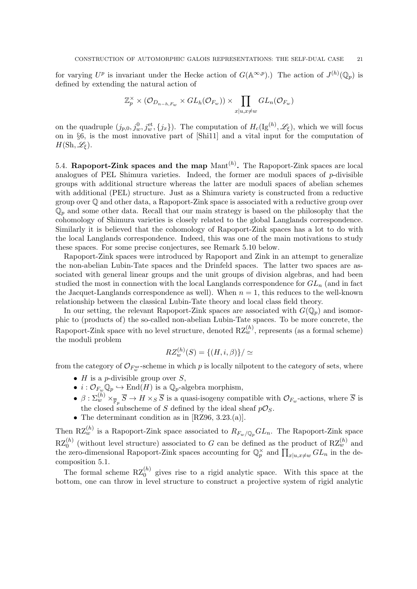for varying  $U^p$  is invariant under the Hecke action of  $G(\mathbb{A}^{\infty,p})$ .) The action of  $J^{(h)}(\mathbb{Q}_p)$  is defined by extending the natural action of

$$
\mathbb{Z}_p^{\times} \times (\mathcal{O}_{D_{n-h,F_w}} \times GL_h(\mathcal{O}_{F_w})) \times \prod_{x|u,x \neq w} GL_n(\mathcal{O}_{F_w})
$$

on the quadruple  $(j_{p,0}, j_w^0, j_w^{\text{et}}, \{j_x\})$ . The computation of  $H_c(\mathrm{Ig}^{(h)}, \mathscr{L}_{\xi})$ , which we will focus on in §6, is the most innovative part of [Shi11] and a vital input for the computation of  $H(\mathrm{Sh}, \mathscr{L}_{\mathscr{E}}).$ 

5.4. Rapoport-Zink spaces and the map  $\text{Mant}^{(h)}$ . The Rapoport-Zink spaces are local analogues of PEL Shimura varieties. Indeed, the former are moduli spaces of  $p$ -divisible groups with additional structure whereas the latter are moduli spaces of abelian schemes with additional (PEL) structure. Just as a Shimura variety is constructed from a reductive group over Q and other data, a Rapoport-Zink space is associated with a reductive group over  $\mathbb{Q}_n$  and some other data. Recall that our main strategy is based on the philosophy that the cohomology of Shimura varieties is closely related to the global Langlands correspondence. Similarly it is believed that the cohomology of Rapoport-Zink spaces has a lot to do with the local Langlands correspondence. Indeed, this was one of the main motivations to study these spaces. For some precise conjectures, see Remark 5.10 below.

Rapoport-Zink spaces were introduced by Rapoport and Zink in an attempt to generalize the non-abelian Lubin-Tate spaces and the Drinfeld spaces. The latter two spaces are associated with general linear groups and the unit groups of division algebras, and had been studied the most in connection with the local Langlands correspondence for  $GL_n$  (and in fact the Jacquet-Langlands correspondence as well). When  $n = 1$ , this reduces to the well-known relationship between the classical Lubin-Tate theory and local class field theory.

In our setting, the relevant Rapoport-Zink spaces are associated with  $G(\mathbb{Q}_p)$  and isomorphic to (products of) the so-called non-abelian Lubin-Tate spaces. To be more concrete, the Rapoport-Zink space with no level structure, denoted  $RZ_w^{(h)}$ , represents (as a formal scheme) the moduli problem

$$
RZ_w^{(h)}(S) = \{(H, i, \beta)\}/\simeq
$$

from the category of  $\mathcal{O}_{F_w^{\text{ur}}}$ -scheme in which p is locally nilpotent to the category of sets, where

- $H$  is a *p*-divisible group over  $S$ ,
- $i: \mathcal{O}_{F_w} \mathbb{Q}_p \hookrightarrow \text{End}(H)$  is a  $\mathbb{Q}_p$ -algebra morphism,
- $\beta: \Sigma_{w}^{(h)} \times_{\overline{\mathbb{F}}_p} \overline{S} \to H \times_S \overline{S}$  is a quasi-isogeny compatible with  $\mathcal{O}_{F_w}$ -actions, where  $\overline{S}$  is the closed subscheme of S defined by the ideal sheaf  $p\mathcal{O}_S$ .
- The determinant condition as in [RZ96, 3.23.(a)].

Then  $RZ_w^{(h)}$  is a Rapoport-Zink space associated to  $R_{F_w/\mathbb{Q}_p}GL_n$ . The Rapoport-Zink space  $RZ_0^{(h)}$  (without level structure) associated to G can be defined as the product of  $RZ_w^{(h)}$  and the zero-dimensional Rapoport-Zink spaces accounting for  $\mathbb{Q}_p^{\times}$  and  $\prod_{x|u,x\neq w} GL_n$  in the decomposition 5.1.

The formal scheme  $RZ_0^{(h)}$  gives rise to a rigid analytic space. With this space at the bottom, one can throw in level structure to construct a projective system of rigid analytic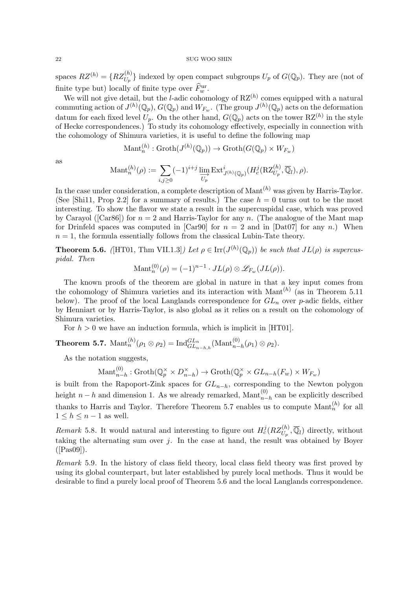spaces  $RZ^{(h)} = \{RZ_{U_p}^{(h)}\}$  indexed by open compact subgroups  $U_p$  of  $G(\mathbb{Q}_p)$ . They are (not of finite type but) locally of finite type over  $\widehat{F}^{\text{ur}}_w$ .

We will not give detail, but the *l*-adic cohomology of  $RZ^{(h)}$  comes equipped with a natural commuting action of  $J^{(h)}(\mathbb{Q}_p)$ ,  $G(\mathbb{Q}_p)$  and  $W_{F_w}$ . (The group  $J^{(h)}(\mathbb{Q}_p)$  acts on the deformation datum for each fixed level  $U_p$ . On the other hand,  $G(\mathbb{Q}_p)$  acts on the tower  $RZ^{(h)}$  in the style of Hecke correspondences.) To study its cohomology effectively, especially in connection with the cohomology of Shimura varieties, it is useful to define the following map

$$
\mathrm{Mant}_n^{(h)} : \mathrm{Groth}(J^{(h)}(\mathbb{Q}_p)) \to \mathrm{Groth}(G(\mathbb{Q}_p) \times W_{F_w})
$$

as

$$
\text{Mant}_n^{(h)}(\rho) := \sum_{i,j \geq 0} (-1)^{i+j} \varinjlim_{U_p} \text{Ext}^i_{J^{(h)}(\mathbb{Q}_p)}(H^j_c(\text{RZ}_{U_p}^{(h)}, \overline{\mathbb{Q}}_l), \rho).
$$

In the case under consideration, a complete description of  $M$ ant $^{(h)}$  was given by Harris-Taylor. (See [Shi11, Prop 2.2] for a summary of results.) The case  $h = 0$  turns out to be the most interesting. To show the flavor we state a result in the supercuspidal case, which was proved by Carayol ( $[Car86]$ ) for  $n = 2$  and Harris-Taylor for any n. (The analogue of the Mant map for Drinfeld spaces was computed in [Car90] for  $n = 2$  and in [Dat07] for any n.) When  $n = 1$ , the formula essentially follows from the classical Lubin-Tate theory.

**Theorem 5.6.** ([HT01, Thm VII.1.3]) Let  $\rho \in \text{Irr}(J^{(h)}(\mathbb{Q}_p))$  be such that  $JL(\rho)$  is supercuspidal. Then

$$
\text{Mant}_n^{(0)}(\rho) = (-1)^{n-1} \cdot JL(\rho) \otimes \mathscr{L}_{F_w}(JL(\rho)).
$$

The known proofs of the theorem are global in nature in that a key input comes from the cohomology of Shimura varieties and its interaction with  $Mant^{(h)}$  (as in Theorem 5.11 below). The proof of the local Langlands correspondence for  $GL_n$  over p-adic fields, either by Henniart or by Harris-Taylor, is also global as it relies on a result on the cohomology of Shimura varieties.

For  $h > 0$  we have an induction formula, which is implicit in [HT01].

Theorem 5.7.  $\mathrm{Mant}_n^{(h)}(\rho_1 \otimes \rho_2) = \mathrm{Ind}_{GL_{n-h,h}}^{GL_n}(\mathrm{Mant}_{n-h}^{(0)}(\rho_1) \otimes \rho_2).$ 

As the notation suggests,

 $\mathrm{Mant}_{n-h}^{(0)} : \mathrm{Groth}(\mathbb{Q}_p^\times \times D_n^\times)$  $\chi_{n-h}^{\times}$   $\rightarrow$  Groth $(\mathbb{Q}_p^{\times} \times GL_{n-h}(F_w) \times W_{F_w})$ 

is built from the Rapoport-Zink spaces for  $GL_{n-h}$ , corresponding to the Newton polygon height  $n-h$  and dimension 1. As we already remarked, Mant $_{n-h}^{(0)}$  can be explicitly described thanks to Harris and Taylor. Therefore Theorem 5.7 enables us to compute  $\text{Mant}_n^{(h)}$  for all  $1 \leq h \leq n-1$  as well.

Remark 5.8. It would natural and interesting to figure out  $H_c^j(RZ_{U_p}^{(h)},\overline{\mathbb{Q}}_l)$  directly, without taking the alternating sum over  $j$ . In the case at hand, the result was obtained by Boyer  $([Pas09]).$ 

Remark 5.9. In the history of class field theory, local class field theory was first proved by using its global counterpart, but later established by purely local methods. Thus it would be desirable to find a purely local proof of Theorem 5.6 and the local Langlands correspondence.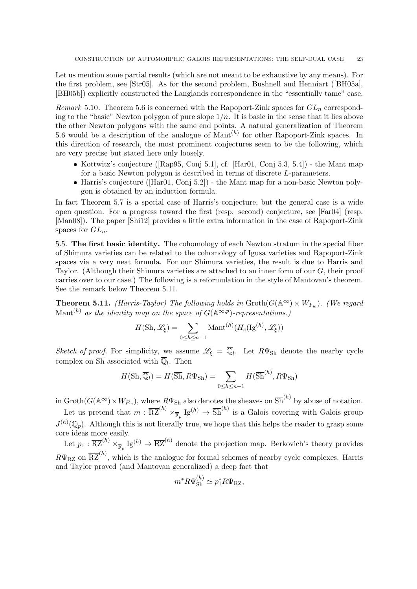Let us mention some partial results (which are not meant to be exhaustive by any means). For the first problem, see [Str05]. As for the second problem, Bushnell and Henniart ([BH05a], [BH05b]) explicitly constructed the Langlands correspondence in the "essentially tame" case.

Remark 5.10. Theorem 5.6 is concerned with the Rapoport-Zink spaces for  $GL_n$  corresponding to the "basic" Newton polygon of pure slope  $1/n$ . It is basic in the sense that it lies above the other Newton polygons with the same end points. A natural generalization of Theorem 5.6 would be a description of the analogue of  $\text{Mant}^{(h)}$  for other Rapoport-Zink spaces. In this direction of research, the most prominent conjectures seem to be the following, which are very precise but stated here only loosely.

- Kottwitz's conjecture ([Rap95, Conj 5.1], cf. [Har01, Conj 5.3, 5.4]) the Mant map for a basic Newton polygon is described in terms of discrete L-parameters.
- Harris's conjecture ([Har01, Conj 5.2]) the Mant map for a non-basic Newton polygon is obtained by an induction formula.

In fact Theorem 5.7 is a special case of Harris's conjecture, but the general case is a wide open question. For a progress toward the first (resp. second) conjecture, see [Far04] (resp. [Man08]). The paper [Shi12] provides a little extra information in the case of Rapoport-Zink spaces for  $GL_n$ .

5.5. The first basic identity. The cohomology of each Newton stratum in the special fiber of Shimura varieties can be related to the cohomology of Igusa varieties and Rapoport-Zink spaces via a very neat formula. For our Shimura varieties, the result is due to Harris and Taylor. (Although their Shimura varieties are attached to an inner form of our G, their proof carries over to our case.) The following is a reformulation in the style of Mantovan's theorem. See the remark below Theorem 5.11.

**Theorem 5.11.** (Harris-Taylor) The following holds in  $\text{Groth}(G(\mathbb{A}^{\infty}) \times W_{F_w})$ . (We regard Mant<sup>(h)</sup> as the identity map on the space of  $G(\mathbb{A}^{\infty,p})$ -representations.)

$$
H(\mathrm{Sh}, \mathscr{L}_{\xi}) = \sum_{0 \leq h \leq n-1} \mathrm{Mant}^{(h)}(H_c(\mathrm{Ig}^{(h)}, \mathscr{L}_{\xi}))
$$

Sketch of proof. For simplicity, we assume  $\mathscr{L}_{\xi} = \overline{\mathbb{Q}}_l$ . Let  $R\Psi_{\text{Sh}}$  denote the nearby cycle complex on  $\overline{Sh}$  associated with  $\overline{\mathbb{Q}}_l$ . Then

$$
H(\mathrm{Sh}, \overline{\mathbb{Q}}_l) = H(\overline{\mathrm{Sh}}, R\Psi_{\mathrm{Sh}}) = \sum_{0 \le h \le n-1} H(\overline{\mathrm{Sh}}^{(h)}, R\Psi_{\mathrm{Sh}})
$$

in  $\text{Groth}(G(\mathbb{A}^{\infty}) \times W_{F_w})$ , where  $R\Psi_{\text{Sh}}$  also denotes the sheaves on  $\overline{\text{Sh}}^{(h)}$  by abuse of notation.

Let us pretend that  $m: \overline{RZ}^{(h)} \times_{\overline{\mathbb{F}}_p} Ig^{(h)} \to \overline{Sh}^{(h)}$  is a Galois covering with Galois group  $J^{(h)}(\mathbb{Q}_p)$ . Although this is not literally true, we hope that this helps the reader to grasp some core ideas more easily.

Let  $p_1: \overline{RZ}^{(h)} \times_{\overline{\mathbb{F}}_p} I_g^{(h)} \to \overline{RZ}^{(h)}$  denote the projection map. Berkovich's theory provides  $R\Psi_{\rm RZ}$  on  $\overline{\rm RZ}^{(h)}$ , which is the analogue for formal schemes of nearby cycle complexes. Harris and Taylor proved (and Mantovan generalized) a deep fact that

$$
m^* R \Psi_{\rm Sh}^{(h)} \simeq p_1^* R \Psi_{\rm RZ},
$$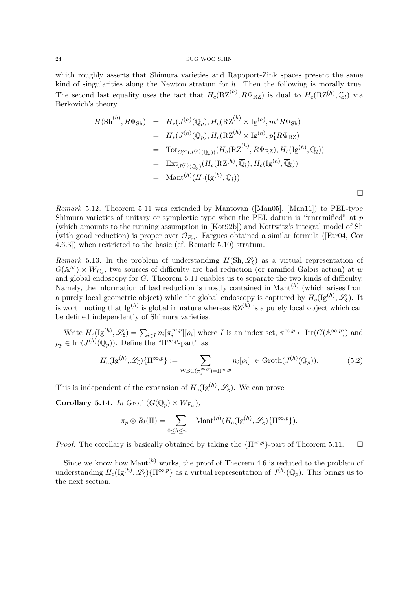which roughly asserts that Shimura varieties and Rapoport-Zink spaces present the same kind of singularities along the Newton stratum for  $h$ . Then the following is morally true. The second last equality uses the fact that  $H_c(\overline{\text{RZ}}^{(h)}, R\Psi_{\text{RZ}})$  is dual to  $H_c(\text{RZ}^{(h)}, \overline{\mathbb{Q}}_l)$  via Berkovich's theory.

$$
H(\overline{Sh}^{(h)}, R\Psi_{\text{Sh}}) = H_*(J^{(h)}(\mathbb{Q}_p), H_c(\overline{\text{RZ}}^{(h)} \times \text{Ig}^{(h)}, m^*R\Psi_{\text{Sh}})
$$
  
\n
$$
= H_*(J^{(h)}(\mathbb{Q}_p), H_c(\overline{\text{RZ}}^{(h)} \times \text{Ig}^{(h)}, p_1^*R\Psi_{\text{RZ}})
$$
  
\n
$$
= \text{Tor}_{C_c^{\infty}(J^{(h)}(\mathbb{Q}_p))}(H_c(\overline{\text{RZ}}^{(h)}, R\Psi_{\text{RZ}}), H_c(\text{Ig}^{(h)}, \overline{\mathbb{Q}}_l))
$$
  
\n
$$
= \text{Ext}_{J^{(h)}(\mathbb{Q}_p)}(H_c(\text{RZ}^{(h)}, \overline{\mathbb{Q}}_l), H_c(\text{Ig}^{(h)}, \overline{\mathbb{Q}}_l))
$$
  
\n
$$
= \text{Mant}^{(h)}(H_c(\text{Ig}^{(h)}, \overline{\mathbb{Q}}_l)).
$$

 $\Box$ 

Remark 5.12. Theorem 5.11 was extended by Mantovan ([Man05], [Man11]) to PEL-type Shimura varieties of unitary or symplectic type when the PEL datum is "unramified" at  $p$ (which amounts to the running assumption in [Kot92b]) and Kottwitz's integral model of Sh (with good reduction) is proper over  $\mathcal{O}_{F_w}$ . Fargues obtained a similar formula ([Far04, Cor 4.6.3]) when restricted to the basic (cf. Remark 5.10) stratum.

Remark 5.13. In the problem of understanding  $H(\mathrm{Sh}, \mathscr{L}_\xi)$  as a virtual representation of  $G(\mathbb{A}^{\infty}) \times W_{F_w}$ , two sources of difficulty are bad reduction (or ramified Galois action) at w and global endoscopy for G. Theorem 5.11 enables us to separate the two kinds of difficulty. Namely, the information of bad reduction is mostly contained in  $\text{Mant}^{(h)}$  (which arises from a purely local geometric object) while the global endoscopy is captured by  $H_c(\mathrm{Ig}^{(h)}, \mathscr{L}_\xi)$ . It is worth noting that  $\lg^{(h)}$  is global in nature whereas  $\mathrm{RZ}^{(h)}$  is a purely local object which can be defined independently of Shimura varieties.

Write  $H_c(\lg^{(h)}, \mathscr{L}_\xi) = \sum_{i \in I} n_i [\pi_i^{\infty, p}]$  $[\infty, \infty, p][\rho_i]$  where *I* is an index set,  $\pi^{\infty, p} \in \text{Irr}(G(\mathbb{A}^{\infty, p}))$  and  $\rho_p \in \text{Irr}(J^{(h)}(\mathbb{Q}_p)).$  Define the " $\Pi^{\infty,p}$ -part" as

$$
H_c(\mathrm{Ig}^{(h)}, \mathscr{L}_{\xi})\{\Pi^{\infty, p}\} := \sum_{\mathrm{WBC}(\pi_i^{\infty, p}) = \Pi^{\infty, p}} n_i[\rho_i] \in \mathrm{Groth}(J^{(h)}(\mathbb{Q}_p)).
$$
 (5.2)

This is independent of the expansion of  $H_c(\mathrm{Ig}^{(h)}, \mathscr{L}_\xi)$ . We can prove

Corollary 5.14. In  $\mathrm{Groth}(G(\mathbb{Q}_p)\times W_{F_w}),$ 

$$
\pi_p \otimes R_l(\Pi) = \sum_{0 \le h \le n-1} \text{Mant}^{(h)}(H_c(\text{Ig}^{(h)}, \mathscr{L}_{\xi}) \{ \Pi^{\infty, p} \}).
$$

*Proof.* The corollary is basically obtained by taking the  $\{\Pi^{\infty,p}\}$ -part of Theorem 5.11.  $\Box$ 

Since we know how Mant<sup> $(h)$ </sup> works, the proof of Theorem 4.6 is reduced to the problem of understanding  $H_c(\mathrm{Ig}^{(h)}, \mathscr{L}_{\xi})\{\Pi^{\infty,p}\}\$ as a virtual representation of  $J^{(h)}(\mathbb{Q}_p)$ . This brings us to the next section.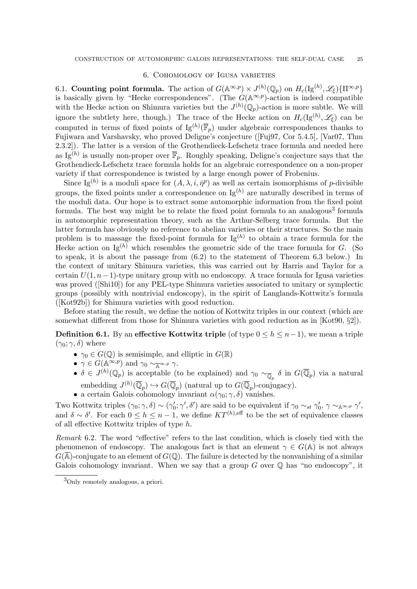## 6. Cohomology of Igusa varieties

6.1. Counting point formula. The action of  $G(\mathbb{A}^{\infty,p}) \times J^{(h)}(\mathbb{Q}_p)$  on  $H_c(\mathrm{Ig}^{(h)}, \mathscr{L}_\xi)\{\Pi^{\infty,p}\}\$ is basically given by "Hecke correspondences". (The  $G(\mathbb{A}^{\infty,p})$ -action is indeed compatible with the Hecke action on Shimura varieties but the  $J^{(h)}(\mathbb{Q}_p)$ -action is more subtle. We will ignore the subtlety here, though.) The trace of the Hecke action on  $H_c(\mathrm{Ig}^{(h)}, \mathscr{L}_\xi)$  can be computed in terms of fixed points of  $\text{Ig}^{(h)}(\overline{\mathbb{F}}_p)$  under algebraic correspondences thanks to Fujiwara and Varshavsky, who proved Deligne's conjecture ([Fuj97, Cor 5.4.5], [Var07, Thm 2.3.2]). The latter is a version of the Grothendieck-Lefschetz trace formula and needed here as Ig<sup>(h)</sup> is usually non-proper over  $\overline{\mathbb{F}}_p$ . Roughly speaking, Deligne's conjecture says that the Grothendieck-Lefschetz trace formula holds for an algebraic correspondence on a non-proper variety if that correspondence is twisted by a large enough power of Frobenius.

Since Ig<sup>(h)</sup> is a moduli space for  $(A, \lambda, i, \bar{\eta}^p)$  as well as certain isomorphisms of p-divisible groups, the fixed points under a correspondence on  $\lg^{(h)}$  are naturally described in terms of the moduli data. Our hope is to extract some automorphic information from the fixed point formula. The best way might be to relate the fixed point formula to an analogous<sup>3</sup> formula in automorphic representation theory, such as the Arthur-Selberg trace formula. But the latter formula has obviously no reference to abelian varieties or their structures. So the main problem is to massage the fixed-point formula for  $\lg^{(h)}$  to obtain a trace formula for the Hecke action on Ig<sup>(h)</sup> which resembles the geometric side of the trace formula for G. (So to speak, it is about the passage from (6.2) to the statement of Theorem 6.3 below.) In the context of unitary Shimura varieties, this was carried out by Harris and Taylor for a certain  $U(1, n-1)$ -type unitary group with no endoscopy. A trace formula for Igusa varieties was proved ([Shi10]) for any PEL-type Shimura varieties associated to unitary or symplectic groups (possibly with nontrivial endoscopy), in the spirit of Langlands-Kottwitz's formula ([Kot92b]) for Shimura varieties with good reduction.

Before stating the result, we define the notion of Kottwitz triples in our context (which are somewhat different from those for Shimura varieties with good reduction as in [Kot90, §2]).

**Definition 6.1.** By an effective Kottwitz triple (of type  $0 \leq h \leq n-1$ ), we mean a triple  $(\gamma_0; \gamma, \delta)$  where

- $\gamma_0 \in G(\mathbb{Q})$  is semisimple, and elliptic in  $G(\mathbb{R})$
- $\gamma \in G(\mathbb{A}^{\infty,p})$  and  $\gamma_0 \sim_{\mathbb{A}^{\infty,p}} \gamma$ .
- $\delta \in J^{(h)}(\mathbb{Q}_p)$  is acceptable (to be explained) and  $\gamma_0 \sim_{\overline{\mathbb{Q}}_p} \delta$  in  $G(\overline{\mathbb{Q}}_p)$  via a natural embedding  $J^{(h)}(\overline{\mathbb{Q}}_p) \hookrightarrow G(\overline{\mathbb{Q}}_p)$  (natural up to  $G(\overline{\mathbb{Q}}_p)$ -conjugacy).
- a certain Galois cohomology invariant  $\alpha(\gamma_0; \gamma, \delta)$  vanishes.

Two Kottwitz triples  $(\gamma_0; \gamma, \delta) \sim (\gamma_0'; \gamma', \delta')$  are said to be equivalent if  $\gamma_0 \sim_{st} \gamma_0', \gamma \sim_{A^{\infty, p}} \gamma',$ and  $\delta \sim \delta'$ . For each  $0 \leq h \leq n-1$ , we define  $KT^{(h),\text{eff}}$  to be the set of equivalence classes of all effective Kottwitz triples of type h.

Remark 6.2. The word "effective" refers to the last condition, which is closely tied with the phenomenon of endoscopy. The analogous fact is that an element  $\gamma \in G(\mathbb{A})$  is not always  $G(\overline{\mathbb{A}})$ -conjugate to an element of  $G(\mathbb{Q})$ . The failure is detected by the nonvanishing of a similar Galois cohomology invariant. When we say that a group  $G$  over  $\mathbb Q$  has "no endoscopy", it

<sup>3</sup>Only remotely analogous, a priori.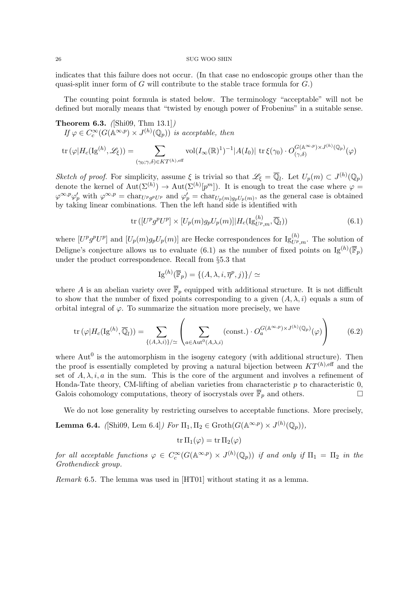indicates that this failure does not occur. (In that case no endoscopic groups other than the quasi-split inner form of  $G$  will contribute to the stable trace formula for  $G$ .)

The counting point formula is stated below. The terminology "acceptable" will not be defined but morally means that "twisted by enough power of Frobenius" in a suitable sense.

Theorem 6.3. ([Shi09, Thm 13.1]) If  $\varphi \in C_c^{\infty}(G(\mathbb{A}^{\infty,p}) \times J^{(h)}(\mathbb{Q}_p))$  is acceptable, then  $\text{tr}\,(\varphi |H_c(\text{Ig}^{(h)},\mathscr{L}_\xi)) = \qquad \qquad \sum$  $(\gamma_0;\gamma,\delta)$ ∈KT $(h)$ ,eff  $\mathrm{vol}(I_\infty(\mathbb{R})^1)^{-1} |A(I_0)| \operatorname{tr} \xi(\gamma_0) \cdot O_{(\gamma,\delta)}^{G(\mathbb{A}^{\infty,p}) \times J^{(h)}(\mathbb{Q}_p)}$  $\frac{G(\mathbb{A}^{\mathbb{A}^{\mathbb{A}^{\mathbb{A}^{\mathbb{A}^{\mathbb{A}^{\mathbb{A}^{\mathbb{A}^{\mathbb{A}^{\mathbb{A}^{\mathbb{A}^{\mathbb{A}^{\mathbb{A}^{\mathbb{A}}}}}}}(\mathbb{Q}^{\mathbb{A}^{\mathbb{A}^{\mathbb{A}^{\mathbb{A}^{\mathbb{A}^{\mathbb{A}^{\mathbb{A}^{\mathbb{A}^{\mathbb{A}^{\mathbb{A}^{\mathbb{A}^{\mathbb{A}^{\mathbb{A}^{\mathbb{A}^{\mathbb{A}^{\mathbb{A$ 

Sketch of proof. For simplicity, assume  $\xi$  is trivial so that  $\mathscr{L}_{\xi} = \overline{\mathbb{Q}}_l$ . Let  $U_p(m) \subset J^{(h)}(\mathbb{Q}_p)$ denote the kernel of  $\text{Aut}(\Sigma^{(h)}) \to \text{Aut}(\Sigma^{(h)}[p^m])$ . It is enough to treat the case where  $\varphi =$  $\varphi^{\infty,p}\varphi'_p$  with  $\varphi^{\infty,p} = \text{char}_{U^p g^p U^p}$  and  $\varphi'_p = \text{char}_{U_p(m)g_p U_p(m)}$ , as the general case is obtained by taking linear combinations. Then the left hand side is identified with

$$
\operatorname{tr}\left([U^p g^p U^p] \times [U_p(m) g_p U_p(m)] | H_c(\operatorname{Ig}_{U^p,m}^{(h)}, \overline{\mathbb{Q}}_l))\right) \tag{6.1}
$$

where  $[U^p g^p U^p]$  and  $[U_p(m) g_p U_p(m)]$  are Hecke correspondences for  $\text{Ig}_{U^p,m}^{(h)}$ . The solution of Deligne's conjecture allows us to evaluate (6.1) as the number of fixed points on  $\mathrm{Ig}^{(h)}(\overline{\mathbb{F}}_p)$ under the product correspondence. Recall from §5.3 that

$$
\mathrm{Ig}^{(h)}(\overline{\mathbb{F}}_p) = \{ (A, \lambda, i, \overline{\eta}^p, j) \} / \simeq
$$

where A is an abelian variety over  $\overline{\mathbb{F}}_p$  equipped with additional structure. It is not difficult to show that the number of fixed points corresponding to a given  $(A, \lambda, i)$  equals a sum of orbital integral of  $\varphi$ . To summarize the situation more precisely, we have

$$
\operatorname{tr}\left(\varphi|H_c(\operatorname{Ig}^{(h)},\overline{\mathbb{Q}}_l)\right) = \sum_{\{(A,\lambda,i)\}\neq\mathbb{Q}}\left(\sum_{a\in\operatorname{Aut}^0(A,\lambda,i)}(\operatorname{const.})\cdot O_a^{G(\mathbb{A}^{\infty,p})\times J^{(h)}(\mathbb{Q}_p)}(\varphi)\right) \tag{6.2}
$$

where  $\text{Aut}^0$  is the automorphism in the isogeny category (with additional structure). Then the proof is essentially completed by proving a natural bijection between  $KT^{(h),\text{eff}}$  and the set of  $A, \lambda, i, a$  in the sum. This is the core of the argument and involves a refinement of Honda-Tate theory, CM-lifting of abelian varieties from characteristic  $p$  to characteristic  $0$ , Galois cohomology computations, theory of isocrystals over  $\overline{\mathbb{F}}_p$  and others.

We do not lose generality by restricting ourselves to acceptable functions. More precisely,

**Lemma 6.4.** ([Shi09, Lem 6.4]) For  $\Pi_1, \Pi_2 \in \text{Groth}(G(\mathbb{A}^{\infty,p}) \times J^{(h)}(\mathbb{Q}_p)),$ 

$$
\mathop{\rm tr}\nolimits \Pi_1(\varphi) = \mathop{\rm tr}\nolimits \Pi_2(\varphi)
$$

for all acceptable functions  $\varphi \in C_c^{\infty}(G(\mathbb{A}^{\infty,p}) \times J^{(h)}(\mathbb{Q}_p))$  if and only if  $\Pi_1 = \Pi_2$  in the Grothendieck group.

Remark 6.5. The lemma was used in [HT01] without stating it as a lemma.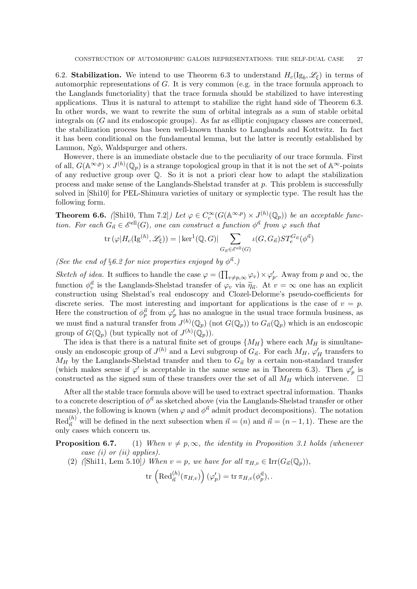6.2. **Stabilization.** We intend to use Theorem 6.3 to understand  $H_c(\mathrm{Ig}_b, \mathscr{L}_\xi)$  in terms of automorphic representations of G. It is very common (e.g. in the trace formula approach to the Langlands functoriality) that the trace formula should be stabilized to have interesting applications. Thus it is natural to attempt to stabilize the right hand side of Theorem 6.3. In other words, we want to rewrite the sum of orbital integrals as a sum of stable orbital integrals on  $(G$  and its endoscopic groups). As far as elliptic conjugacy classes are concerned, the stabilization process has been well-known thanks to Langlands and Kottwitz. In fact it has been conditional on the fundamental lemma, but the latter is recently established by Laumon, Ngô, Waldspurger and others.

However, there is an immediate obstacle due to the peculiarity of our trace formula. First of all,  $G(\mathbb{A}^{\infty,p}) \times J^{(h)}(\mathbb{Q}_p)$  is a strange topological group in that it is not the set of  $\mathbb{A}^{\infty}$ -points of any reductive group over Q. So it is not a priori clear how to adapt the stabilization process and make sense of the Langlands-Shelstad transfer at  $p$ . This problem is successfully solved in [Shi10] for PEL-Shimura varieties of unitary or symplectic type. The result has the following form.

**Theorem 6.6.** ([Shi10, Thm 7.2]) Let  $\varphi \in C_c^{\infty}(G(\mathbb{A}^{\infty,p}) \times J^{(h)}(\mathbb{Q}_p))$  be an acceptable function. For each  $G_{\vec{n}} \in \mathcal{E}^{\text{ell}}(G)$ , one can construct a function  $\phi^{\vec{n}}$  from  $\varphi$  such that

$$
\operatorname{tr}(\varphi|H_c(\operatorname{Ig}^{(h)}, \mathscr{L}_{\xi})) = |\ker^1(\mathbb{Q}, G)| \sum_{G_{\vec{n}} \in \mathscr{E}^{\operatorname{ell}}(G)} \iota(G, G_{\vec{n}}) ST_e^{G_{\vec{n}}}(\phi^{\vec{n}})
$$

(See the end of §6.2 for nice properties enjoyed by  $\phi^{\vec{n}}$ .)

Sketch of idea. It suffices to handle the case  $\varphi = (\prod_{v \neq p, \infty} \varphi_v) \times \varphi'_p$ . Away from p and  $\infty$ , the function  $\phi_v^{\vec{n}}$  is the Langlands-Shelstad transfer of  $\varphi_v$  via  $\widetilde{\eta}_{\vec{n}}$ . At  $v = \infty$  one has an explicit construction using Shelstad's real endoscopy and Clozel-Delorme's pseudo-coefficients for discrete series. The most interesting and important for applications is the case of  $v = p$ . Here the construction of  $\phi_p^{\vec{n}}$  from  $\varphi_p'$  has no analogue in the usual trace formula business, as we must find a natural transfer from  $J^{(h)}(\mathbb{Q}_p)$  (not  $G(\mathbb{Q}_p)$ ) to  $G_{\vec{n}}(\mathbb{Q}_p)$  which is an endoscopic group of  $G(\mathbb{Q}_p)$  (but typically not of  $J^{(h)}(\mathbb{Q}_p)$ ).

The idea is that there is a natural finite set of groups  $\{M_H\}$  where each  $M_H$  is simultaneously an endoscopic group of  $J^{(h)}$  and a Levi subgroup of  $G_{\vec{n}}$ . For each  $M_H$ ,  $\varphi'_H$  transfers to  $M_H$  by the Langlands-Shelstad transfer and then to  $G_{\vec{n}}$  by a certain non-standard transfer (which makes sense if  $\varphi'$  is acceptable in the same sense as in Theorem 6.3). Then  $\varphi'_p$  is constructed as the signed sum of these transfers over the set of all  $M_H$  which intervene.

After all the stable trace formula above will be used to extract spectral information. Thanks to a concrete description of  $\phi^{\vec{n}}$  as sketched above (via the Langlands-Shelstad transfer or other means), the following is known (when  $\varphi$  and  $\phi^{\vec{n}}$  admit product decompositions). The notation  $\text{Red}_{\vec{n}}^{(h)}$  will be defined in the next subsection when  $\vec{n} = (n)$  and  $\vec{n} = (n-1, 1)$ . These are the only cases which concern us.

**Proposition 6.7.** (1) When  $v \neq p, \infty$ , the identity in Proposition 3.1 holds (whenever case (i) or (ii) applies).

(2) ([Shi11, Lem 5.10]) When  $v = p$ , we have for all  $\pi_{H,v} \in \text{Irr}(G_{\vec{n}}(\mathbb{Q}_p)),$ 

 $\mathrm{tr}\, \left(\mathrm{Red}^{(h)}_{\vec{n}}(\pi_{H,v})\right)(\varphi'_p) = \mathrm{tr}\, \pi_{H,v}(\phi^{\vec{n}}_p), .$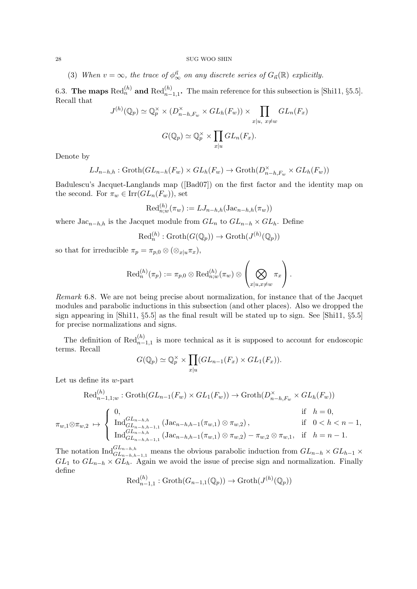(3) When  $v = \infty$ , the trace of  $\phi^{\vec{n}}_{\infty}$  on any discrete series of  $G_{\vec{n}}(\mathbb{R})$  explicitly.

6.3. The maps  $\text{Red}_n^{(h)}$  and  $\text{Red}_{n-1,1}^{(h)}$ . The main reference for this subsection is [Shi11, §5.5]. Recall that

$$
J^{(h)}(\mathbb{Q}_p) \simeq \mathbb{Q}_p^{\times} \times (D_{n-h,F_w}^{\times} \times GL_h(F_w)) \times \prod_{x|u, x \neq w} GL_n(F_x)
$$
  

$$
G(\mathbb{Q}_p) \simeq \mathbb{Q}_p^{\times} \times \prod_{x|u} GL_n(F_x).
$$

Denote by

$$
LJ_{n-h,h}: \operatorname{Groth}(GL_{n-h}(F_w) \times GL_h(F_w) \to \operatorname{Groth}(D_{n-h,F_w}^{\times} \times GL_h(F_w))
$$

Badulescu's Jacquet-Langlands map ([Bad07]) on the first factor and the identity map on the second. For  $\pi_w \in \text{Irr}(GL_n(F_w))$ , set

$$
\text{Red}_{n;w}^{(h)}(\pi_w) := LJ_{n-h,h}(\text{Jac}_{n-h,h}(\pi_w))
$$

where  $\text{Jac}_{n-h,h}$  is the Jacquet module from  $GL_n$  to  $GL_{n-h} \times GL_h$ . Define

$$
\text{Red}_n^{(h)}:\text{Groth}(G(\mathbb{Q}_p))\to\text{Groth}(J^{(h)}(\mathbb{Q}_p))
$$

so that for irreducible  $\pi_p = \pi_{p,0} \otimes (\otimes_{x|u} \pi_x),$ 

$$
\text{Red}_n^{(h)}(\pi_p):=\pi_{p,0}\otimes \text{Red}_{n;w}^{(h)}(\pi_w)\otimes \left(\bigotimes_{x|u,x\neq w}\pi_x\right).
$$

Remark 6.8. We are not being precise about normalization, for instance that of the Jacquet modules and parabolic inductions in this subsection (and other places). Also we dropped the sign appearing in [Shi11, §5.5] as the final result will be stated up to sign. See [Shi11, §5.5] for precise normalizations and signs.

The definition of  $\text{Red}_{n-1,1}^{(h)}$  is more technical as it is supposed to account for endoscopic terms. Recall

$$
G(\mathbb{Q}_p) \simeq \mathbb{Q}_p^{\times} \times \prod_{x|u} (GL_{n-1}(F_x) \times GL_1(F_x)).
$$

Let us define its  $w$ -part

$$
\operatorname{Red}_{n-1,1;w}^{(h)}: \operatorname{Groth}(GL_{n-1}(F_w) \times GL_1(F_w)) \to \operatorname{Groth}(D_{n-h,F_w}^{\times} \times GL_h(F_w))
$$
\n
$$
\pi_{w,1} \otimes \pi_{w,2} \mapsto \begin{cases}\n0, & \text{if } h = 0, \\
\operatorname{Ind}_{GL_{n-h,h-1,1}}^{GL_{n-h,h}} (\operatorname{Jac}_{n-h,h-1}(\pi_{w,1}) \otimes \pi_{w,2}), & \text{if } 0 < h < n-1, \\
\operatorname{Ind}_{GL_{n-h,h-1,1}}^{GL_{n-h,h}} (\operatorname{Jac}_{n-h,h-1}(\pi_{w,1}) \otimes \pi_{w,2}) - \pi_{w,2} \otimes \pi_{w,1}, & \text{if } h = n-1.\n\end{cases}
$$

The notation  $\text{Ind}_{GL_{n-h},h-1,1}^{GL_{n-h},h}$  means the obvious parabolic induction from  $GL_{n-h} \times GL_{h-1} \times$  $GL_1$  to  $GL_{n-h} \times GL_h$ . Again we avoid the issue of precise sign and normalization. Finally define

$$
\text{Red}_{n-1,1}^{(h)}:\text{Groth}(G_{n-1,1}(\mathbb{Q}_p))\to\text{Groth}(J^{(h)}(\mathbb{Q}_p))
$$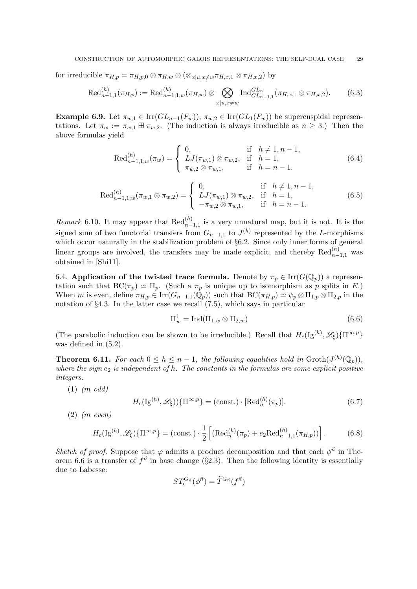for irreducible  $\pi_{H,p} = \pi_{H,p,0} \otimes \pi_{H,w} \otimes (\otimes_{x|u,x\neq w} \pi_{H,x,1} \otimes \pi_{H,x,2})$  by

$$
\text{Red}_{n-1,1}^{(h)}(\pi_{H,p}) := \text{Red}_{n-1,1;w}^{(h)}(\pi_{H,w}) \otimes \bigotimes_{x|u,x \neq w} \text{Ind}_{GL_{n-1,1}}^{GL_n}(\pi_{H,x,1} \otimes \pi_{H,x,2}).\tag{6.3}
$$

Example 6.9. Let  $\pi_{w,1} \in \text{Irr}(GL_{n-1}(F_w)), \pi_{w,2} \in \text{Irr}(GL_1(F_w))$  be supercuspidal representations. Let  $\pi_w := \pi_{w,1} \boxplus \pi_{w,2}$ . (The induction is always irreducible as  $n \geq 3$ .) Then the above formulas yield

$$
\text{Red}_{n-1,1;w}^{(h)}(\pi_w) = \begin{cases} 0, & \text{if } h \neq 1, n-1, \\ LJ(\pi_{w,1}) \otimes \pi_{w,2}, & \text{if } h = 1, \\ \pi_{w,2} \otimes \pi_{w,1}, & \text{if } h = n-1. \end{cases}
$$
(6.4)

$$
\operatorname{Red}_{n-1,1;w}^{(h)}(\pi_{w,1}\otimes\pi_{w,2})=\begin{cases}0,&\text{if }h\neq 1,n-1,\\ LJ(\pi_{w,1})\otimes\pi_{w,2},&\text{if }h=1,\\ -\pi_{w,2}\otimes\pi_{w,1},&\text{if }h=n-1.\end{cases}
$$
(6.5)

Remark 6.10. It may appear that  $\text{Red}_{n-1,1}^{(h)}$  is a very unnatural map, but it is not. It is the signed sum of two functorial transfers from  $G_{n-1,1}$  to  $J^{(h)}$  represented by the L-morphisms which occur naturally in the stabilization problem of §6.2. Since only inner forms of general linear groups are involved, the transfers may be made explicit, and thereby  $\text{Red}_{n-1,1}^{(h)}$  was obtained in [Shi11].

6.4. Application of the twisted trace formula. Denote by  $\pi_p \in \text{Irr}(G(\mathbb{Q}_p))$  a representation such that  $BC(\pi_p) \simeq \Pi_p$ . (Such a  $\pi_p$  is unique up to isomorphism as p splits in E.) When m is even, define  $\pi_{H,p} \in \text{Irr}(G_{n-1,1}(\mathbb{Q}_p))$  such that  $\text{BC}(\pi_{H,p}) \simeq \psi_p \otimes \Pi_{1,p} \otimes \Pi_{2,p}$  in the notation of §4.3. In the latter case we recall (7.5), which says in particular

$$
\Pi_w^1 = \text{Ind}(\Pi_{1,w} \otimes \Pi_{2,w}) \tag{6.6}
$$

(The parabolic induction can be shown to be irreducible.) Recall that  $H_c(\mathrm{Ig}^{(h)}, \mathscr{L}_{\xi})\{\Pi^{\infty,p}\}\$ was defined in (5.2).

**Theorem 6.11.** For each  $0 \le h \le n-1$ , the following equalities hold in  $\text{Groth}(J^{(h)}(\mathbb{Q}_p))$ , where the sign  $e_2$  is independent of h. The constants in the formulas are some explicit positive integers.

 $(1)$  (m odd)

$$
H_c(\mathrm{Ig}^{(h)}, \mathscr{L}_{\xi})\{\Pi^{\infty, p}\} = (\text{const.}) \cdot [\mathrm{Red}_n^{(h)}(\pi_p)].
$$
\n(6.7)

(2) (m even)

$$
H_c(\mathrm{Ig}^{(h)}, \mathscr{L}_{\xi})\{\Pi^{\infty, p}\} = (\text{const.}) \cdot \frac{1}{2} \left[ (\mathrm{Red}_n^{(h)}(\pi_p) + e_2 \mathrm{Red}_{n-1, 1}^{(h)}(\pi_{H, p})) \right]. \tag{6.8}
$$

Sketch of proof. Suppose that  $\varphi$  admits a product decomposition and that each  $\varphi^{\vec{n}}$  in Theorem 6.6 is a transfer of  $f^{\vec{n}}$  in base change (§2.3). Then the following identity is essentially due to Labesse:

$$
ST_e^{G_{\vec{n}}}(\phi^{\vec{n}})=\widetilde{T}^{\mathbb{G}_{\vec{n}}}(f^{\vec{n}})
$$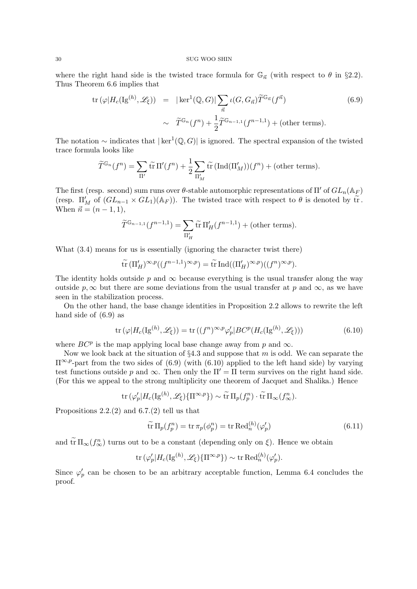where the right hand side is the twisted trace formula for  $\mathbb{G}_{\vec{n}}$  (with respect to  $\theta$  in §2.2). Thus Theorem 6.6 implies that

$$
\text{tr}\left(\varphi|H_c(\text{Ig}^{(h)},\mathscr{L}_{\xi})\right) = |\ker^1(\mathbb{Q},G)| \sum_{\vec{n}} \iota(G,G_{\vec{n}}) \widetilde{T}^{\mathbb{G}_{\vec{n}}}(f^{\vec{n}})
$$
(6.9)  

$$
\sim \widetilde{T}^{\mathbb{G}_n}(f^n) + \frac{1}{2} \widetilde{T}^{\mathbb{G}_{n-1,1}}(f^{n-1,1}) + (\text{other terms}).
$$

The notation ~ indicates that  $|\ker^1(\mathbb{Q}, G)|$  is ignored. The spectral expansion of the twisted trace formula looks like

$$
\widetilde{T}^{\mathbb{G}_n}(f^n) = \sum_{\Pi'} \widetilde{\operatorname{tr}} \, \Pi'(f^n) + \frac{1}{2} \sum_{\Pi'_M} \widetilde{\operatorname{tr}} \, (\operatorname{Ind}(\Pi'_M))(f^n) + (\text{other terms}).
$$

The first (resp. second) sum runs over  $\theta$ -stable automorphic representations of  $\Pi'$  of  $GL_n(\mathbb{A}_F)$ (resp.  $\Pi'_{M}$  of  $(GL_{n-1} \times GL_1)(\mathbb{A}_F)$ ). The twisted trace with respect to  $\theta$  is denoted by  $\widetilde{tr}$ . When  $\vec{n} = (n - 1, 1),$ 

$$
\widetilde{T}^{\mathbb{G}_{n-1,1}}(f^{n-1,1}) = \sum_{\Pi'_H} \widetilde{\operatorname{tr}} \Pi'_H(f^{n-1,1}) + (\text{other terms}).
$$

What  $(3.4)$  means for us is essentially (ignoring the character twist there)

$$
\widetilde{\operatorname{tr}}\left(\Pi'_H\right)^{\infty,p}((f^{n-1,1})^{\infty,p})=\widetilde{\operatorname{tr}}\operatorname{Ind}((\Pi'_H)^{\infty,p})((f^n)^{\infty,p}).
$$

The identity holds outside p and  $\infty$  because everything is the usual transfer along the way outside  $p, \infty$  but there are some deviations from the usual transfer at p and  $\infty$ , as we have seen in the stabilization process.

On the other hand, the base change identities in Proposition 2.2 allows to rewrite the left hand side of (6.9) as

$$
\operatorname{tr}\left(\varphi|H_c(\operatorname{Ig}^{(h)},\mathscr{L}_{\xi})\right) = \operatorname{tr}\left((f^n)^{\infty,p}\varphi_p'|BC^p(H_c(\operatorname{Ig}^{(h)},\mathscr{L}_{\xi}))\right) \tag{6.10}
$$

where  $BC^p$  is the map applying local base change away from p and  $\infty$ .

Now we look back at the situation of  $\S 4.3$  and suppose that m is odd. We can separate the  $\Pi^{\infty,p}$ -part from the two sides of (6.9) (with (6.10) applied to the left hand side) by varying test functions outside p and  $\infty$ . Then only the  $\Pi' = \Pi$  term survives on the right hand side. (For this we appeal to the strong multiplicity one theorem of Jacquet and Shalika.) Hence

tr 
$$
(\varphi'_p|H_c(\mathrm{Ig}^{(h)},\mathscr{L}_{\xi})\{\Pi^{\infty,p}\}) \sim \widetilde{\mathrm{tr}} \Pi_p(f_p^n) \cdot \widetilde{\mathrm{tr}} \Pi_{\infty}(f_{\infty}^n).
$$

Propositions 2.2.(2) and 6.7.(2) tell us that

$$
\widetilde{\text{tr}} \Pi_p(f_p^n) = \text{tr} \,\pi_p(\phi_p^n) = \text{tr} \,\text{Red}_n^{(h)}(\varphi_p') \tag{6.11}
$$

and  $\widetilde{\operatorname{tr}} \Pi_{\infty}(f_{\infty}^n)$  turns out to be a constant (depending only on  $\xi$ ). Hence we obtain

$$
\text{tr}(\varphi_p'|H_c(\text{Ig}^{(h)},\mathscr{L}_{\xi})\{\Pi^{\infty,p}\}) \sim \text{tr} \text{Red}_n^{(h)}(\varphi_p').
$$

Since  $\varphi'_p$  can be chosen to be an arbitrary acceptable function, Lemma 6.4 concludes the proof.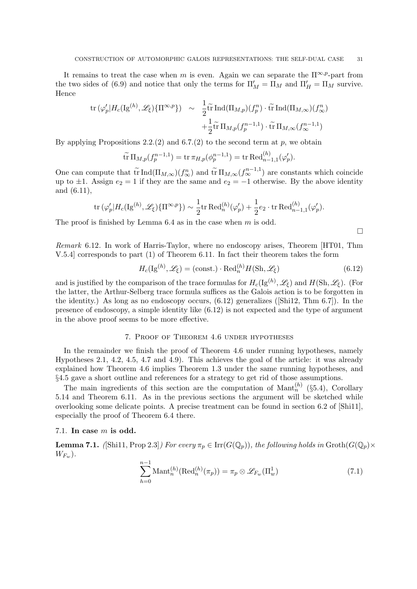It remains to treat the case when m is even. Again we can separate the  $\Pi^{\infty,p}$ -part from the two sides of (6.9) and notice that only the terms for  $\Pi'_{M} = \Pi_{M}$  and  $\Pi'_{H} = \Pi_{M}$  survive. Hence

$$
\text{tr}\left(\varphi_p'|H_c(\text{Ig}^{(h)},\mathscr{L}_{\xi})\{\Pi^{\infty,p}\}\right) \sim \frac{1}{2}\tilde{\text{tr}}\operatorname{Ind}(\Pi_{M,p})(f_p^n)\cdot\tilde{\text{tr}}\operatorname{Ind}(\Pi_{M,\infty})(f_{\infty}^n) \n+\frac{1}{2}\tilde{\text{tr}}\Pi_{M,p}(f_p^{n-1,1})\cdot\tilde{\text{tr}}\Pi_{M,\infty}(f_{\infty}^{n-1,1})
$$

By applying Propositions 2.2.(2) and 6.7.(2) to the second term at p, we obtain

$$
\widetilde{\rm{tr}}\,\Pi_{M,p}(f_p^{n-1,1}) = {\rm{tr}}\,\pi_{H,p}(\phi_p^{n-1,1}) = {\rm{tr}}\,\text{Red}_{n-1,1}^{(h)}(\varphi_p').
$$

One can compute that  $\widetilde{tr} \operatorname{Ind}(\Pi_{M,\infty})(f^n_{\infty})$  and  $\widetilde{tr} \Pi_{M,\infty}(f^{n-1,1}_{\infty})$  are constants which coincide up to  $\pm 1$ . Assign  $e_2 = 1$  if they are the same and  $e_2 = -1$  otherwise. By the above identity and (6.11),

$$
\mathrm{tr\,}(\varphi_p'|H_c(\mathrm{Ig}^{(h)},\mathscr{L}_\xi)\{\Pi^{\infty,p}\})\sim\frac{1}{2}\mathrm{tr\,} \mathrm{Red}_n^{(h)}(\varphi_p')+\frac{1}{2}e_2\cdot\mathrm{tr\,} \mathrm{Red}_{n-1,1}^{(h)}(\varphi_p').
$$

The proof is finished by Lemma  $6.4$  as in the case when m is odd.

 $\Box$ 

Remark 6.12. In work of Harris-Taylor, where no endoscopy arises, Theorem [HT01, Thm V.5.4] corresponds to part (1) of Theorem 6.11. In fact their theorem takes the form

$$
H_c(\mathrm{Ig}^{(h)}, \mathcal{L}_{\xi}) = (\text{const.}) \cdot \mathrm{Red}_n^{(h)} H(\mathrm{Sh}, \mathcal{L}_{\xi})
$$
\n(6.12)

and is justified by the comparison of the trace formulas for  $H_c(\mathrm{Ig}^{(h)}, \mathscr{L}_\xi)$  and  $H(\mathrm{Sh}, \mathscr{L}_\xi)$ . (For the latter, the Arthur-Selberg trace formula suffices as the Galois action is to be forgotten in the identity.) As long as no endoscopy occurs, (6.12) generalizes ([Shi12, Thm 6.7]). In the presence of endoscopy, a simple identity like (6.12) is not expected and the type of argument in the above proof seems to be more effective.

## 7. Proof of Theorem 4.6 under hypotheses

In the remainder we finish the proof of Theorem 4.6 under running hypotheses, namely Hypotheses 2.1, 4.2, 4.5, 4.7 and 4.9). This achieves the goal of the article: it was already explained how Theorem 4.6 implies Theorem 1.3 under the same running hypotheses, and §4.5 gave a short outline and references for a strategy to get rid of those assumptions.

The main ingredients of this section are the computation of Mant<sub>n</sub><sup>(h)</sup> (§5.4), Corollary 5.14 and Theorem 6.11. As in the previous sections the argument will be sketched while overlooking some delicate points. A precise treatment can be found in section 6.2 of [Shi11], especially the proof of Theorem 6.4 there.

## 7.1. In case  $m$  is odd.

**Lemma 7.1.** ([Shi11, Prop 2.3]) For every  $\pi_p \in \text{Irr}(G(\mathbb{Q}_p))$ , the following holds in  $\text{Groth}(G(\mathbb{Q}_p) \times$  $W_{F_w}$ ).

$$
\sum_{h=0}^{n-1} \text{Mant}_n^{(h)}(\text{Red}_n^{(h)}(\pi_p)) = \pi_p \otimes \mathscr{L}_{F_w}(\Pi_w^1)
$$
 (7.1)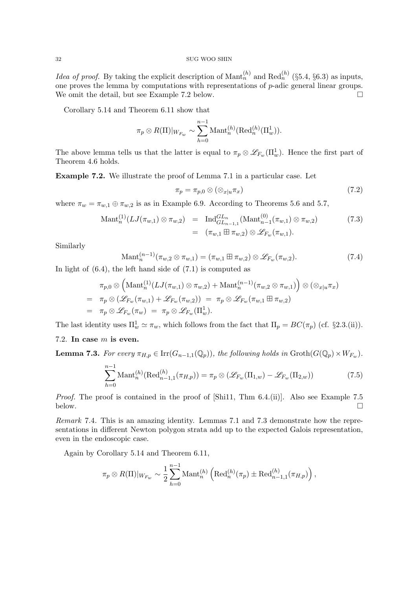*Idea of proof.* By taking the explicit description of  $\text{Mant}_n^{(h)}$  and  $\text{Red}_n^{(h)}$  (§5.4, §6.3) as inputs, one proves the lemma by computations with representations of p-adic general linear groups. We omit the detail, but see Example 7.2 below.  $\Box$ 

Corollary 5.14 and Theorem 6.11 show that

$$
\pi_p \otimes R(\Pi)|_{W_{F_w}} \sim \sum_{h=0}^{n-1} \mathrm{Mant}_n^{(h)}(\mathrm{Red}_n^{(h)}(\Pi_w^1)).
$$

The above lemma tells us that the latter is equal to  $\pi_p \otimes \mathscr{L}_{F_w}(\Pi_w^1)$ . Hence the first part of Theorem 4.6 holds.

Example 7.2. We illustrate the proof of Lemma 7.1 in a particular case. Let

$$
\pi_p = \pi_{p,0} \otimes (\otimes_{x|u} \pi_x) \tag{7.2}
$$

where  $\pi_w = \pi_{w,1} \oplus \pi_{w,2}$  is as in Example 6.9. According to Theorems 5.6 and 5.7,

$$
\begin{array}{rcl}\n\text{Mant}_{n}^{(1)}(LJ(\pi_{w,1}) \otimes \pi_{w,2}) & = & \text{Ind}_{GL_{n-1,1}}^{GL_n}(\text{Mant}_{n-1}^{(0)}(\pi_{w,1}) \otimes \pi_{w,2}) \\
& = & (\pi_{w,1} \boxplus \pi_{w,2}) \otimes \mathscr{L}_{F_w}(\pi_{w,1}).\n\end{array} \tag{7.3}
$$

Similarly

$$
\text{Mant}_n^{(n-1)}(\pi_{w,2}\otimes\pi_{w,1}) = (\pi_{w,1}\boxplus\pi_{w,2})\otimes\mathscr{L}_{F_w}(\pi_{w,2}).\tag{7.4}
$$

In light of (6.4), the left hand side of (7.1) is computed as

$$
\pi_{p,0} \otimes \left(\mathrm{Mant}_n^{(1)}(LJ(\pi_{w,1}) \otimes \pi_{w,2}) + \mathrm{Mant}_n^{(n-1)}(\pi_{w,2} \otimes \pi_{w,1})\right) \otimes \left(\otimes_{x|u}\pi_x\right)
$$
  
=  $\pi_p \otimes \left(\mathscr{L}_{F_w}(\pi_{w,1}) + \mathscr{L}_{F_w}(\pi_{w,2})\right) = \pi_p \otimes \mathscr{L}_{F_w}(\pi_{w,1} \boxplus \pi_{w,2})$   
=  $\pi_p \otimes \mathscr{L}_{F_w}(\pi_w) = \pi_p \otimes \mathscr{L}_{F_w}(\Pi_w^1).$ 

The last identity uses  $\Pi_w^1 \simeq \pi_w$ , which follows from the fact that  $\Pi_p = BC(\pi_p)$  (cf. §2.3.(ii)).

## 7.2. In case  $m$  is even.

**Lemma 7.3.** For every  $\pi_{H,p} \in \text{Irr}(G_{n-1,1}(\mathbb{Q}_p))$ , the following holds in  $\text{Groth}(G(\mathbb{Q}_p) \times W_{F_w})$ .

$$
\sum_{h=0}^{n-1} \text{Mant}_n^{(h)}(\text{Red}_{n-1,1}^{(h)}(\pi_{H,p})) = \pi_p \otimes (\mathscr{L}_{F_w}(\Pi_{1,w}) - \mathscr{L}_{F_w}(\Pi_{2,w}))
$$
(7.5)

*Proof.* The proof is contained in the proof of  $[\text{Shi11}, \text{Thm } 6.4.(\text{ii})]$ . Also see Example 7.5 below.

Remark 7.4. This is an amazing identity. Lemmas 7.1 and 7.3 demonstrate how the representations in different Newton polygon strata add up to the expected Galois representation, even in the endoscopic case.

Again by Corollary 5.14 and Theorem 6.11,

$$
\pi_p \otimes R(\Pi)|_{W_{F_w}} \sim \frac{1}{2} \sum_{h=0}^{n-1} \text{Mant}_n^{(h)} \left( \text{Red}_n^{(h)}(\pi_p) \pm \text{Red}_{n-1,1}^{(h)}(\pi_{H,p}) \right),
$$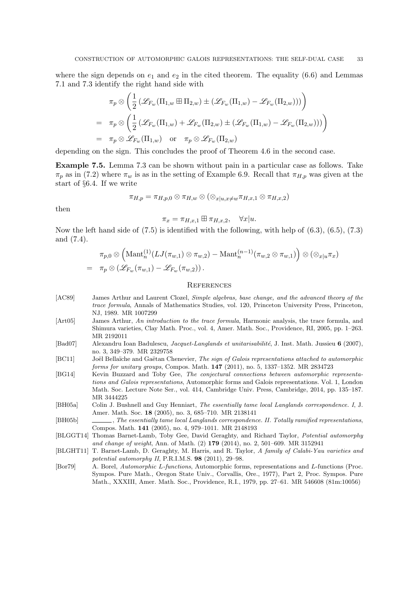where the sign depends on  $e_1$  and  $e_2$  in the cited theorem. The equality (6.6) and Lemmas 7.1 and 7.3 identify the right hand side with

$$
\pi_p \otimes \left( \frac{1}{2} \left( \mathcal{L}_{F_w}(\Pi_{1,w} \boxplus \Pi_{2,w}) \pm (\mathcal{L}_{F_w}(\Pi_{1,w}) - \mathcal{L}_{F_w}(\Pi_{2,w})) \right) \right)
$$
  
=  $\pi_p \otimes \left( \frac{1}{2} \left( \mathcal{L}_{F_w}(\Pi_{1,w}) + \mathcal{L}_{F_w}(\Pi_{2,w}) \pm (\mathcal{L}_{F_w}(\Pi_{1,w}) - \mathcal{L}_{F_w}(\Pi_{2,w})) \right) \right)$   
=  $\pi_p \otimes \mathcal{L}_{F_w}(\Pi_{1,w})$  or  $\pi_p \otimes \mathcal{L}_{F_w}(\Pi_{2,w})$ 

depending on the sign. This concludes the proof of Theorem 4.6 in the second case.

Example 7.5. Lemma 7.3 can be shown without pain in a particular case as follows. Take  $\pi_p$  as in (7.2) where  $\pi_w$  is as in the setting of Example 6.9. Recall that  $\pi_{H,p}$  was given at the start of §6.4. If we write

$$
\pi_{H,p}=\pi_{H,p,0}\otimes\pi_{H,w}\otimes(\otimes_{x|u,x\neq w}\pi_{H,x,1}\otimes\pi_{H,x,2})
$$

then

 $\pi_x = \pi_{H.x,1} \boxplus \pi_{H.x,2}, \quad \forall x | u.$ 

Now the left hand side of  $(7.5)$  is identified with the following, with help of  $(6.3)$ ,  $(6.5)$ ,  $(7.3)$ and (7.4).

$$
\pi_{p,0} \otimes \left(\text{Mant}_n^{(1)}(LJ(\pi_{w,1}) \otimes \pi_{w,2}) - \text{Mant}_n^{(n-1)}(\pi_{w,2} \otimes \pi_{w,1})\right) \otimes (\otimes_{x|u} \pi_x)
$$
  
=  $\pi_p \otimes (\mathscr{L}_{F_w}(\pi_{w,1}) - \mathscr{L}_{F_w}(\pi_{w,2}))$ .

## **REFERENCES**

- [AC89] James Arthur and Laurent Clozel, Simple algebras, base change, and the advanced theory of the trace formula, Annals of Mathematics Studies, vol. 120, Princeton University Press, Princeton, NJ, 1989. MR 1007299
- [Art05] James Arthur, An introduction to the trace formula, Harmonic analysis, the trace formula, and Shimura varieties, Clay Math. Proc., vol. 4, Amer. Math. Soc., Providence, RI, 2005, pp. 1–263. MR 2192011
- [Bad07] Alexandru Ioan Badulescu, *Jacquet-Langlands et unitarisabilité*, J. Inst. Math. Jussieu 6 (2007), no. 3, 349–379. MR 2329758
- [BC11] Joël Bellaïche and Gaëtan Chenevier, The sign of Galois representations attached to automorphic forms for unitary groups, Compos. Math. 147 (2011), no. 5, 1337–1352. MR 2834723
- [BG14] Kevin Buzzard and Toby Gee, The conjectural connections between automorphic representations and Galois representations, Automorphic forms and Galois representations. Vol. 1, London Math. Soc. Lecture Note Ser., vol. 414, Cambridge Univ. Press, Cambridge, 2014, pp. 135–187. MR 3444225
- [BH05a] Colin J. Bushnell and Guy Henniart, The essentially tame local Langlands correspondence. I, J. Amer. Math. Soc. 18 (2005), no. 3, 685–710. MR 2138141
- [BH05b] , The essentially tame local Langlands correspondence. II. Totally ramified representations, Compos. Math. 141 (2005), no. 4, 979–1011. MR 2148193
- [BLGGT14] Thomas Barnet-Lamb, Toby Gee, David Geraghty, and Richard Taylor, Potential automorphy and change of weight, Ann. of Math. (2) 179 (2014), no. 2, 501-609. MR 3152941
- [BLGHT11] T. Barnet-Lamb, D. Geraghty, M. Harris, and R. Taylor, A family of Calabi-Yau varieties and potential automorphy II, P.R.I.M.S. 98 (2011), 29–98.
- [Bor79] A. Borel, Automorphic L-functions, Automorphic forms, representations and L-functions (Proc. Sympos. Pure Math., Oregon State Univ., Corvallis, Ore., 1977), Part 2, Proc. Sympos. Pure Math., XXXIII, Amer. Math. Soc., Providence, R.I., 1979, pp. 27–61. MR 546608 (81m:10056)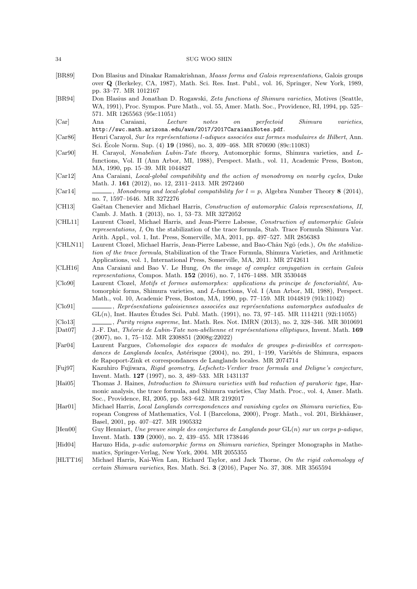- [BR89] Don Blasius and Dinakar Ramakrishnan, Maass forms and Galois representations, Galois groups over Q (Berkeley, CA, 1987), Math. Sci. Res. Inst. Publ., vol. 16, Springer, New York, 1989, pp. 33–77. MR 1012167
- [BR94] Don Blasius and Jonathan D. Rogawski, Zeta functions of Shimura varieties, Motives (Seattle, WA, 1991), Proc. Sympos. Pure Math., vol. 55, Amer. Math. Soc., Providence, RI, 1994, pp. 525– 571. MR 1265563 (95e:11051)

[Car] Ana Caraiani, Lecture notes on perfectoid Shimura varieties, http://swc.math.arizona.edu/aws/2017/2017CaraianiNotes.pdf.

- [Car86] Henri Carayol, Sur les représentations l-adiques associées aux formes modulaires de Hilbert, Ann. Sci. Ecole Norm. Sup.  $(4)$  19  $(1986)$ , no. 3, 409–468. MR 870690  $(89c:11083)$
- [Car90] H. Carayol, Nonabelian Lubin-Tate theory, Automorphic forms, Shimura varieties, and Lfunctions, Vol. II (Ann Arbor, MI, 1988), Perspect. Math., vol. 11, Academic Press, Boston, MA, 1990, pp. 15–39. MR 1044827

[Car12] Ana Caraiani, Local-global compatibility and the action of monodromy on nearby cycles, Duke Math. J. 161 (2012), no. 12, 2311–2413. MR 2972460

[Car14] , Monodromy and local-global compatibility for  $l = p$ , Algebra Number Theory 8 (2014), no. 7, 1597–1646. MR 3272276

[CH13] Gaëtan Chenevier and Michael Harris, Construction of automorphic Galois representations, II, Camb. J. Math. 1 (2013), no. 1, 53–73. MR 3272052

- [CHL11] Laurent Clozel, Michael Harris, and Jean-Pierre Labesse, Construction of automorphic Galois representations, I, On the stabilization of the trace formula, Stab. Trace Formula Shimura Var. Arith. Appl., vol. 1, Int. Press, Somerville, MA, 2011, pp. 497–527. MR 2856383
- [CHLN11] Laurent Clozel, Michael Harris, Jean-Pierre Labesse, and Bao-Châu Ngô (eds.), On the stabilization of the trace formula, Stabilization of the Trace Formula, Shimura Varieties, and Arithmetic Applications, vol. 1, International Press, Somerville, MA, 2011. MR 2742611
- [CLH16] Ana Caraiani and Bao V. Le Hung, On the image of complex conjugation in certain Galois representations, Compos. Math. 152 (2016), no. 7, 1476–1488. MR 3530448
- [Clo90] Laurent Clozel, Motifs et formes automorphes: applications du principe de fonctorialit´e, Automorphic forms, Shimura varieties, and L-functions, Vol. I (Ann Arbor, MI, 1988), Perspect. Math., vol. 10, Academic Press, Boston, MA, 1990, pp. 77–159. MR 1044819 (91k:11042)
- [Clo91] , Représentations galoisiennes associées aux représentations automorphes autoduales de  $GL(n)$ , Inst. Hautes Études Sci. Publ. Math. (1991), no. 73, 97–145. MR 1114211 (92i:11055)
- [Clo13] , Purity reigns supreme, Int. Math. Res. Not. IMRN (2013), no. 2, 328–346. MR 3010691
- [Dat07] J.-F. Dat, Théorie de Lubin-Tate non-abélienne et représentations elliptiques, Invent. Math. 169 (2007), no. 1, 75–152. MR 2308851 (2008g:22022)
- [Far04] Laurent Fargues, Cohomologie des espaces de modules de groupes p-divisibles et correspondances de Langlands locales, Astérisque (2004), no. 291, 1–199, Variétés de Shimura, espaces de Rapoport-Zink et correspondances de Langlands locales. MR 2074714
- [Fuj97] Kazuhiro Fujiwara, Rigid geometry, Lefschetz-Verdier trace formula and Deligne's conjecture, Invent. Math. 127 (1997), no. 3, 489–533. MR 1431137
- [Hai05] Thomas J. Haines, Introduction to Shimura varieties with bad reduction of parahoric type, Harmonic analysis, the trace formula, and Shimura varieties, Clay Math. Proc., vol. 4, Amer. Math. Soc., Providence, RI, 2005, pp. 583–642. MR 2192017
- [Har01] Michael Harris, Local Langlands correspondences and vanishing cycles on Shimura varieties, European Congress of Mathematics, Vol. I (Barcelona, 2000), Progr. Math., vol. 201, Birkhäuser, Basel, 2001, pp. 407–427. MR 1905332
- $[Hen00]$  Guy Henniart, Une preuve simple des conjectures de Langlands pour  $GL(n)$  sur un corps p-adique, Invent. Math. 139 (2000), no. 2, 439–455. MR 1738446
- [Hid04] Haruzo Hida, p-adic automorphic forms on Shimura varieties, Springer Monographs in Mathematics, Springer-Verlag, New York, 2004. MR 2055355
- [HLTT16] Michael Harris, Kai-Wen Lan, Richard Taylor, and Jack Thorne, On the rigid cohomology of certain Shimura varieties, Res. Math. Sci. 3 (2016), Paper No. 37, 308. MR 3565594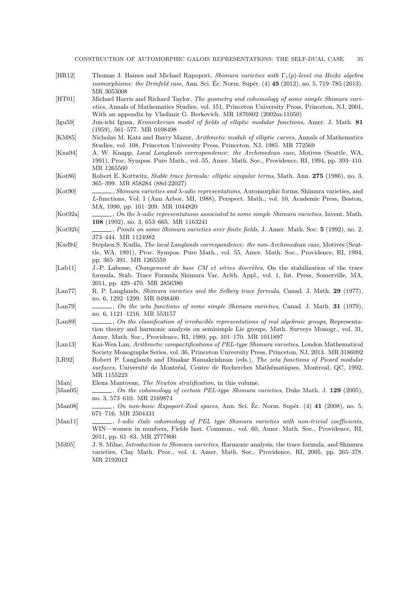- [HR12] Thomas J. Haines and Michael Rapoport, Shimura varieties with  $\Gamma_1(p)$ -level via Hecke algebra *isomorphisms: the Drinfeld case*, Ann. Sci. Éc. Norm. Supér.  $(4)$  **45**  $(2012)$ , no. 5, 719–785  $(2013)$ . MR 3053008
- [HT01] Michael Harris and Richard Taylor, The geometry and cohomology of some simple Shimura varieties, Annals of Mathematics Studies, vol. 151, Princeton University Press, Princeton, NJ, 2001, With an appendix by Vladimir G. Berkovich. MR 1876802 (2002m:11050)
- [Igu59] Jun-ichi Igusa, Kroneckerian model of fields of elliptic modular functions, Amer. J. Math. 81 (1959), 561–577. MR 0108498
- [KM85] Nicholas M. Katz and Barry Mazur, Arithmetic moduli of elliptic curves, Annals of Mathematics Studies, vol. 108, Princeton University Press, Princeton, NJ, 1985. MR 772569
- [Kna94] A. W. Knapp, Local Langlands correspondence: the Archimedean case, Motives (Seattle, WA, 1991), Proc. Sympos. Pure Math., vol. 55, Amer. Math. Soc., Providence, RI, 1994, pp. 393–410. MR 1265560
- [Kot86] Robert E. Kottwitz, Stable trace formula: elliptic singular terms, Math. Ann. 275 (1986), no. 3, 365–399. MR 858284 (88d:22027)
- [Kot90] , Shimura varieties and λ-adic representations, Automorphic forms, Shimura varieties, and L-functions, Vol. I (Ann Arbor, MI, 1988), Perspect. Math., vol. 10, Academic Press, Boston, MA, 1990, pp. 161–209. MR 1044820
- [Kot92a]  $\Box$ , On the  $\lambda$ -adic representations associated to some simple Shimura varieties, Invent. Math. 108 (1992), no. 3, 653–665. MR 1163241
- [Kot92b] , Points on some Shimura varieties over finite fields, J. Amer. Math. Soc. 5 (1992), no. 2, 373–444. MR 1124982
- [Kud94] Stephen S. Kudla, The local Langlands correspondence: the non-Archimedean case, Motives (Seattle, WA, 1991), Proc. Sympos. Pure Math., vol. 55, Amer. Math. Soc., Providence, RI, 1994, pp. 365–391. MR 1265559
- [Lab11] J.-P. Labesse, Changement de base CM et séries discrètes, On the stabilization of the trace formula, Stab. Trace Formula Shimura Var. Arith. Appl., vol. 1, Int. Press, Somerville, MA, 2011, pp. 429–470. MR 2856380
- [Lan77] R. P. Langlands, *Shimura varieties and the Selberg trace formula*, Canad. J. Math. 29 (1977), no. 6, 1292–1299. MR 0498400
- [Lan79] , On the zeta functions of some simple Shimura varieties, Canad. J. Math. 31 (1979), no. 6, 1121–1216. MR 553157
- [Lan89] , On the classification of irreducible representations of real algebraic groups, Representation theory and harmonic analysis on semisimple Lie groups, Math. Surveys Monogr., vol. 31, Amer. Math. Soc., Providence, RI, 1989, pp. 101–170. MR 1011897
- [Lan13] Kai-Wen Lan, Arithmetic compactifications of PEL-type Shimura varieties, London Mathematical Society Monographs Series, vol. 36, Princeton University Press, Princeton, NJ, 2013. MR 3186092
- [LR92] Robert P. Langlands and Dinakar Ramakrishnan (eds.), The zeta functions of Picard modular surfaces, Université de Montréal, Centre de Recherches Mathématiques, Montreal, QC, 1992. MR 1155223
- [Man] Elena Mantovan, The Newton stratification, in this volume.
- [Man05] , On the cohomology of certain PEL-type Shimura varieties, Duke Math. J. 129 (2005), no. 3, 573–610. MR 2169874
- [Man08] , On non-basic Rapoport-Zink spaces, Ann. Sci. Ec. Norm. Supér. (4)  $41$  (2008), no. 5, 671–716. MR 2504431
- [Man11] , l-adic étale cohomology of PEL type Shimura varieties with non-trivial coefficients, WIN—women in numbers, Fields Inst. Commun., vol. 60, Amer. Math. Soc., Providence, RI, 2011, pp. 61–83. MR 2777800
- [Mil05] J. S. Milne, *Introduction to Shimura varieties*, Harmonic analysis, the trace formula, and Shimura varieties, Clay Math. Proc., vol. 4, Amer. Math. Soc., Providence, RI, 2005, pp. 265–378. MR 2192012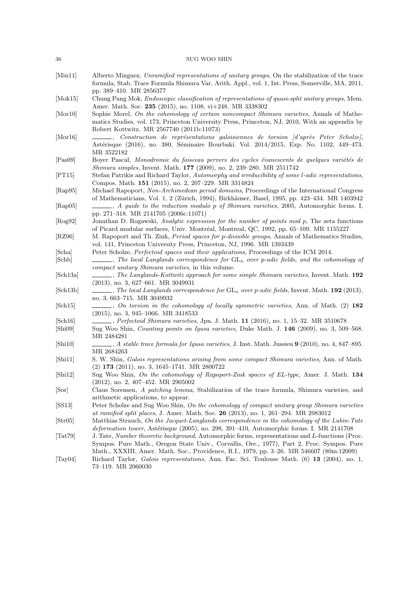| 36                                        | SUG WOO SHIN                                                                                                                                                                                                                                                                              |
|-------------------------------------------|-------------------------------------------------------------------------------------------------------------------------------------------------------------------------------------------------------------------------------------------------------------------------------------------|
| [Min11]                                   | Alberto Minguez, Unramified representations of unitary groups, On the stabilization of the trace<br>formula, Stab. Trace Formula Shimura Var. Arith. Appl., vol. 1, Int. Press, Somerville, MA, 2011,<br>pp. 389-410. MR 2856377                                                          |
| [Mok15]                                   | Chung Pang Mok, Endoscopic classification of representations of quasi-split unitary groups, Mem.<br>Amer. Math. Soc. 235 (2015), no. 1108, vi+248. MR 3338302                                                                                                                             |
| [Mor10]                                   | Sophie Morel, On the cohomology of certain noncompact Shimura varieties, Annals of Mathe-<br>matics Studies, vol. 173, Princeton University Press, Princeton, NJ, 2010, With an appendix by<br>Robert Kottwitz. MR 2567740 (2011b:11073)                                                  |
| [Mor16]                                   | $\qquad \qquad$ , Construction de représentations galoisiennes de torsion [d'après Peter Scholze],<br>Astérisque (2016), no. 380, Séminaire Bourbaki. Vol. 2014/2015, Exp. No. 1102, 449-473.<br>MR 3522182                                                                               |
| [Pas09]                                   | Boyer Pascal, Monodromie du faisceau pervers des cycles évanescents de quelques variétés de<br>Shimura simples, Invent. Math. 177 (2009), no. 2, 239-280. MR 2511742                                                                                                                      |
| [PT15]                                    | Stefan Patrikis and Richard Taylor, Automorphy and irreducibility of some l-adic representations,<br>Compos. Math. 151 (2015), no. 2, 207-229. MR 3314824                                                                                                                                 |
| [Rap95]                                   | Michael Rapoport, Non-Archimedean period domains, Proceedings of the International Congress<br>of Mathematicians, Vol. 1, 2 (Zürich, 1994), Birkhäuser, Basel, 1995, pp. 423–434. MR 1403942                                                                                              |
| [Rap05]                                   | $\_\_\_\_$ , A guide to the reduction modulo p of Shimura varieties, 2005, Automorphic forms. I,<br>pp. 271–318. MR 2141705 (2006c:11071)                                                                                                                                                 |
| [Rog92]                                   | Jonathan D. Rogawski, Analytic expression for the number of points mod $p$ , The zeta functions<br>of Picard modular surfaces, Univ. Montréal, Montreal, QC, 1992, pp. 65-109. MR 1155227                                                                                                 |
| [RZ96]                                    | M. Rapoport and Th. Zink, <i>Period spaces for p-divisible groups</i> , Annals of Mathematics Studies,<br>vol. 141, Princeton University Press, Princeton, NJ, 1996. MR 1393439                                                                                                           |
| [Scha]                                    | Peter Scholze, <i>Perfectoid spaces and their applications</i> , Proceedings of the ICM 2014.<br>$\Box$ , The local Langlands correspondence for $GL_n$ over p-adic fields, and the cohomology of                                                                                         |
| [Schb]                                    | compact unitary Shimura varieties, in this volume.                                                                                                                                                                                                                                        |
| [Sch13a]                                  | $\_\_\_\_\$ , The Langlands-Kottwitz approach for some simple Shimura varieties, Invent. Math. 192<br>$(2013)$ , no. 3, 627-661. MR 3049931                                                                                                                                               |
| [Sch13b]                                  | $\frac{1}{1}$ , The local Langlands correspondence for $GL_n$ over p-adic fields, Invent. Math. 192 (2013),<br>no. 3, 663–715. MR 3049932                                                                                                                                                 |
| [Sch15]                                   | $\_\_\_\_$ , On torsion in the cohomology of locally symmetric varieties, Ann. of Math. (2) 182<br>$(2015)$ , no. 3, 945–1066. MR 3418533                                                                                                                                                 |
| $\lbrack \text{Sch}16 \rbrack$<br>[Shi09] | Perfectoid Shimura varieties, Jpn. J. Math. 11 (2016), no. 1, 15–32. MR 3510678<br>Sug Woo Shin, <i>Counting points on Igusa varieties</i> , Duke Math. J. 146 (2009), no. 3, 509–568.<br>MR 2484281                                                                                      |
| [Shi10]                                   | $\_\_\_\$ , A stable trace formula for Igusa varieties, J. Inst. Math. Jussieu 9 (2010), no. 4, 847–895.<br>MR 2684263                                                                                                                                                                    |
| [Shi11]                                   | S. W. Shin, Galois representations arising from some compact Shimura varieties, Ann. of Math.<br>$(2)$ 173 $(2011)$ , no. 3, 1645-1741. MR 2800722                                                                                                                                        |
| [Shi12]                                   | Sug Woo Shin, On the cohomology of Rapoport-Zink spaces of EL-type, Amer. J. Math. 134<br>$(2012)$ , no. 2, 407–452. MR 2905002                                                                                                                                                           |
| [Sor]                                     | Claus Sorensen, A patching lemma, Stabilization of the trace formula, Shimura varieties, and<br>arithmetic applications, to appear.                                                                                                                                                       |
| [SS13]                                    | Peter Scholze and Sug Woo Shin, On the cohomology of compact unitary group Shimura varieties<br>at ramified split places, J. Amer. Math. Soc. 26 (2013), no. 1, 261-294. MR 2983012                                                                                                       |
| $\vert$ Str $\vert$ 05 $\vert$            | Matthias Strauch, On the Jacquet-Langlands correspondence in the cohomology of the Lubin-Tate<br><i>deformation tower</i> , Astérisque (2005), no. 298, 391–410, Automorphic forms. I. MR 2141708                                                                                         |
| $\vert \text{Tot79} \vert$                | J. Tate, Number theoretic background, Automorphic forms, representations and L-functions (Proc.<br>Sympos. Pure Math., Oregon State Univ., Corvallis, Ore., 1977), Part 2, Proc. Sympos. Pure<br>Math., XXXIII, Amer. Math. Soc., Providence, R.I., 1979, pp. 3-26. MR 546607 (80m:12009) |
| $\vert$ Tay04 $\vert$                     | Richard Taylor, <i>Galois representations</i> , Ann. Fac. Sci. Toulouse Math. (6) 13 (2004), no. 1,<br>73–119. MR 2060030                                                                                                                                                                 |